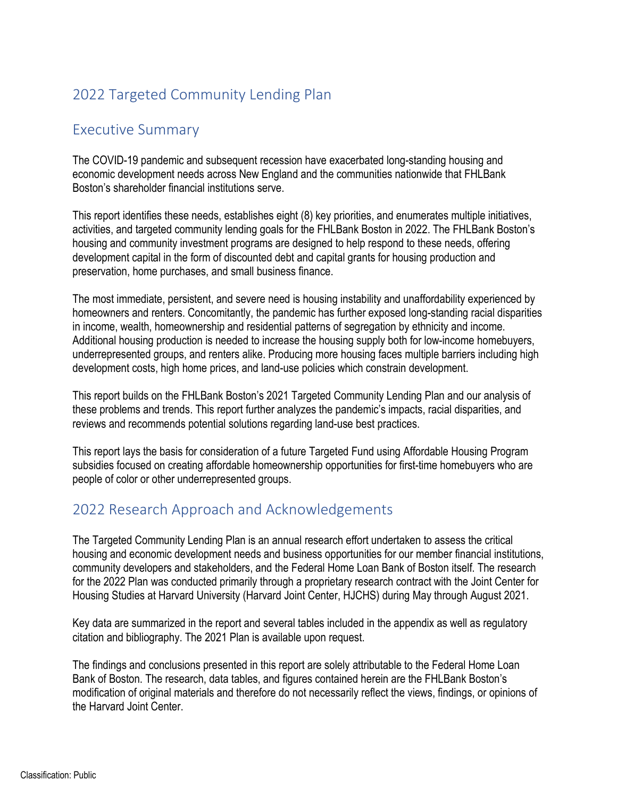# 2022 Targeted Community Lending Plan

## Executive Summary

The COVID-19 pandemic and subsequent recession have exacerbated long-standing housing and economic development needs across New England and the communities nationwide that FHLBank Boston's shareholder financial institutions serve.

This report identifies these needs, establishes eight (8) key priorities, and enumerates multiple initiatives, activities, and targeted community lending goals for the FHLBank Boston in 2022. The FHLBank Boston's housing and community investment programs are designed to help respond to these needs, offering development capital in the form of discounted debt and capital grants for housing production and preservation, home purchases, and small business finance.

The most immediate, persistent, and severe need is housing instability and unaffordability experienced by homeowners and renters. Concomitantly, the pandemic has further exposed long-standing racial disparities in income, wealth, homeownership and residential patterns of segregation by ethnicity and income. Additional housing production is needed to increase the housing supply both for low-income homebuyers, underrepresented groups, and renters alike. Producing more housing faces multiple barriers including high development costs, high home prices, and land-use policies which constrain development.

This report builds on the FHLBank Boston's 2021 Targeted Community Lending Plan and our analysis of these problems and trends. This report further analyzes the pandemic's impacts, racial disparities, and reviews and recommends potential solutions regarding land-use best practices.

This report lays the basis for consideration of a future Targeted Fund using Affordable Housing Program subsidies focused on creating affordable homeownership opportunities for first-time homebuyers who are people of color or other underrepresented groups.

# 2022 Research Approach and Acknowledgements

The Targeted Community Lending Plan is an annual research effort undertaken to assess the critical housing and economic development needs and business opportunities for our member financial institutions, community developers and stakeholders, and the Federal Home Loan Bank of Boston itself. The research for the 2022 Plan was conducted primarily through a proprietary research contract with the Joint Center for Housing Studies at Harvard University (Harvard Joint Center, HJCHS) during May through August 2021.

Key data are summarized in the report and several tables included in the appendix as well as regulatory citation and bibliography. The 2021 Plan is available upon request.

The findings and conclusions presented in this report are solely attributable to the Federal Home Loan Bank of Boston. The research, data tables, and figures contained herein are the FHLBank Boston's modification of original materials and therefore do not necessarily reflect the views, findings, or opinions of the Harvard Joint Center.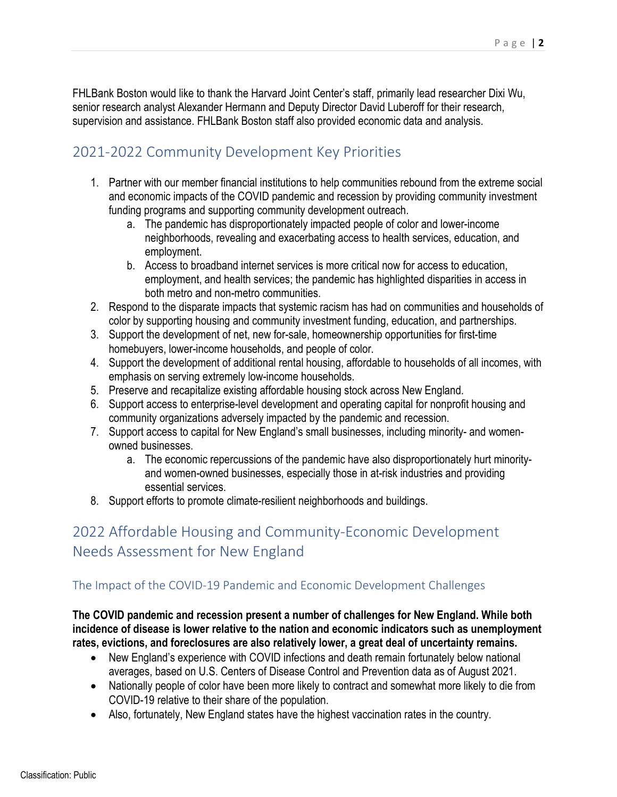FHLBank Boston would like to thank the Harvard Joint Center's staff, primarily lead researcher Dixi Wu, senior research analyst Alexander Hermann and Deputy Director David Luberoff for their research, supervision and assistance. FHLBank Boston staff also provided economic data and analysis.

# 2021-2022 Community Development Key Priorities

- 1. Partner with our member financial institutions to help communities rebound from the extreme social and economic impacts of the COVID pandemic and recession by providing community investment funding programs and supporting community development outreach.
	- a. The pandemic has disproportionately impacted people of color and lower-income neighborhoods, revealing and exacerbating access to health services, education, and employment.
	- b. Access to broadband internet services is more critical now for access to education, employment, and health services; the pandemic has highlighted disparities in access in both metro and non-metro communities.
- 2. Respond to the disparate impacts that systemic racism has had on communities and households of color by supporting housing and community investment funding, education, and partnerships.
- 3. Support the development of net, new for-sale, homeownership opportunities for first-time homebuyers, lower-income households, and people of color.
- 4. Support the development of additional rental housing, affordable to households of all incomes, with emphasis on serving extremely low-income households.
- 5. Preserve and recapitalize existing affordable housing stock across New England.
- 6. Support access to enterprise-level development and operating capital for nonprofit housing and community organizations adversely impacted by the pandemic and recession.
- 7. Support access to capital for New England's small businesses, including minority- and womenowned businesses.
	- a. The economic repercussions of the pandemic have also disproportionately hurt minorityand women-owned businesses, especially those in at-risk industries and providing essential services.
- 8. Support efforts to promote climate-resilient neighborhoods and buildings.

# 2022 Affordable Housing and Community-Economic Development Needs Assessment for New England

## The Impact of the COVID-19 Pandemic and Economic Development Challenges

**The COVID pandemic and recession present a number of challenges for New England. While both incidence of disease is lower relative to the nation and economic indicators such as unemployment rates, evictions, and foreclosures are also relatively lower, a great deal of uncertainty remains.** 

- New England's experience with COVID infections and death remain fortunately below national averages, based on U.S. Centers of Disease Control and Prevention data as of August 2021.
- Nationally people of color have been more likely to contract and somewhat more likely to die from COVID-19 relative to their share of the population.
- Also, fortunately, New England states have the highest vaccination rates in the country.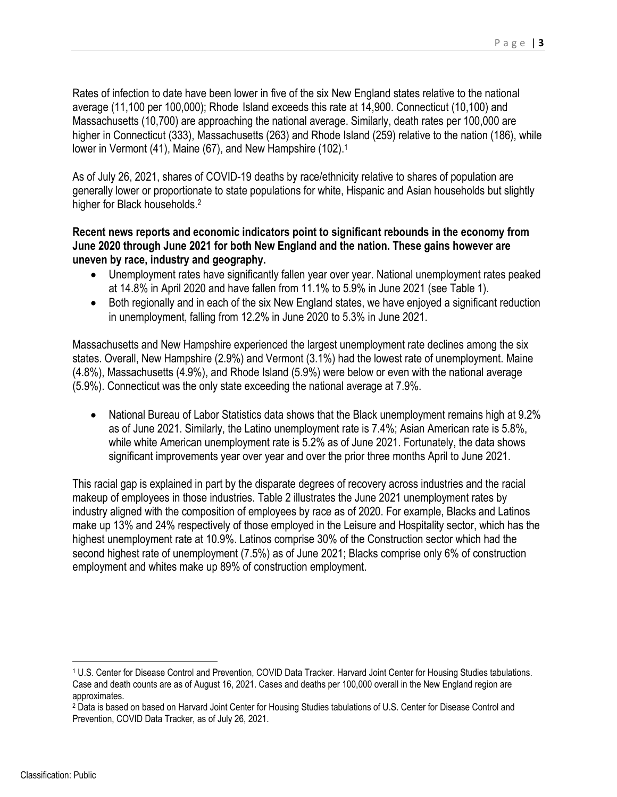Rates of infection to date have been lower in five of the six New England states relative to the national average (11,100 per 100,000); Rhode Island exceeds this rate at 14,900. Connecticut (10,100) and Massachusetts (10,700) are approaching the national average. Similarly, death rates per 100,000 are higher in Connecticut (333), Massachusetts (263) and Rhode Island (259) relative to the nation (186), while lower in Vermont (41), Maine (67), and New Hampshire (102).<sup>1</sup>

As of July 26, 2021, shares of COVID-19 deaths by race/ethnicity relative to shares of population are generally lower or proportionate to state populations for white, Hispanic and Asian households but slightly higher for Black households.<sup>2</sup>

## **Recent news reports and economic indicators point to significant rebounds in the economy from June 2020 through June 2021 for both New England and the nation. These gains however are uneven by race, industry and geography.**

- Unemployment rates have significantly fallen year over year. National unemployment rates peaked at 14.8% in April 2020 and have fallen from 11.1% to 5.9% in June 2021 (see Table 1).
- Both regionally and in each of the six New England states, we have enjoyed a significant reduction in unemployment, falling from 12.2% in June 2020 to 5.3% in June 2021.

Massachusetts and New Hampshire experienced the largest unemployment rate declines among the six states. Overall, New Hampshire (2.9%) and Vermont (3.1%) had the lowest rate of unemployment. Maine (4.8%), Massachusetts (4.9%), and Rhode Island (5.9%) were below or even with the national average (5.9%). Connecticut was the only state exceeding the national average at 7.9%.

• National Bureau of Labor Statistics data shows that the Black unemployment remains high at 9.2% as of June 2021. Similarly, the Latino unemployment rate is 7.4%; Asian American rate is 5.8%, while white American unemployment rate is 5.2% as of June 2021. Fortunately, the data shows significant improvements year over year and over the prior three months April to June 2021.

This racial gap is explained in part by the disparate degrees of recovery across industries and the racial makeup of employees in those industries. Table 2 illustrates the June 2021 unemployment rates by industry aligned with the composition of employees by race as of 2020. For example, Blacks and Latinos make up 13% and 24% respectively of those employed in the Leisure and Hospitality sector, which has the highest unemployment rate at 10.9%. Latinos comprise 30% of the Construction sector which had the second highest rate of unemployment (7.5%) as of June 2021; Blacks comprise only 6% of construction employment and whites make up 89% of construction employment.

<sup>1</sup> U.S. Center for Disease Control and Prevention, COVID Data Tracker. Harvard Joint Center for Housing Studies tabulations. Case and death counts are as of August 16, 2021. Cases and deaths per 100,000 overall in the New England region are approximates.

<sup>&</sup>lt;sup>2</sup> Data is based on based on Harvard Joint Center for Housing Studies tabulations of U.S. Center for Disease Control and Prevention, COVID Data Tracker, as of July 26, 2021.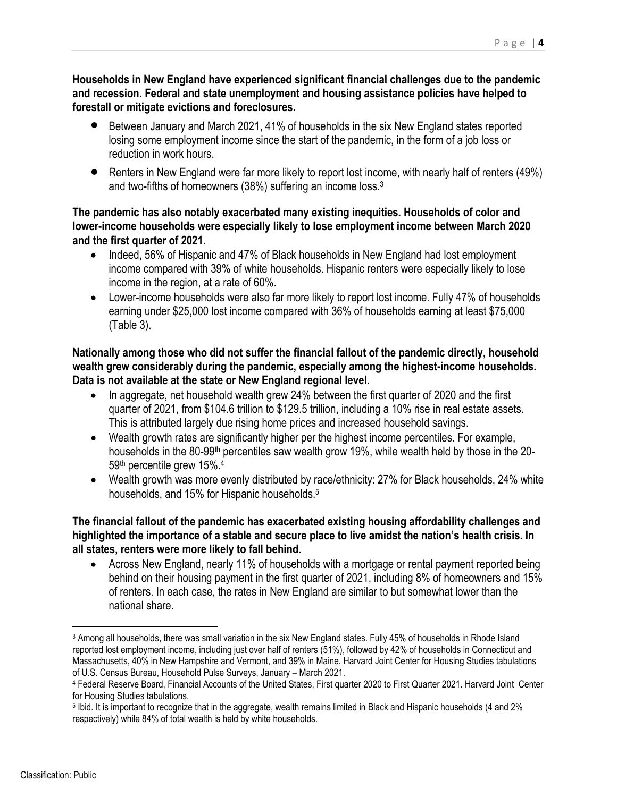**Households in New England have experienced significant financial challenges due to the pandemic and recession. Federal and state unemployment and housing assistance policies have helped to forestall or mitigate evictions and foreclosures.** 

- Between January and March 2021, 41% of households in the six New England states reported losing some employment income since the start of the pandemic, in the form of a job loss or reduction in work hours.
- Renters in New England were far more likely to report lost income, with nearly half of renters (49%) and two-fifths of homeowners (38%) suffering an income loss.<sup>3</sup>

## **The pandemic has also notably exacerbated many existing inequities. Households of color and lower-income households were especially likely to lose employment income between March 2020 and the first quarter of 2021.**

- Indeed, 56% of Hispanic and 47% of Black households in New England had lost employment income compared with 39% of white households. Hispanic renters were especially likely to lose income in the region, at a rate of 60%.
- Lower-income households were also far more likely to report lost income. Fully 47% of households earning under \$25,000 lost income compared with 36% of households earning at least \$75,000 (Table 3).

**Nationally among those who did not suffer the financial fallout of the pandemic directly, household wealth grew considerably during the pandemic, especially among the highest-income households. Data is not available at the state or New England regional level.** 

- In aggregate, net household wealth grew 24% between the first quarter of 2020 and the first quarter of 2021, from \$104.6 trillion to \$129.5 trillion, including a 10% rise in real estate assets. This is attributed largely due rising home prices and increased household savings.
- Wealth growth rates are significantly higher per the highest income percentiles. For example, households in the 80-99<sup>th</sup> percentiles saw wealth grow 19%, while wealth held by those in the 20-59th percentile grew 15%.4
- Wealth growth was more evenly distributed by race/ethnicity: 27% for Black households, 24% white households, and 15% for Hispanic households.<sup>5</sup>

## **The financial fallout of the pandemic has exacerbated existing housing affordability challenges and highlighted the importance of a stable and secure place to live amidst the nation's health crisis. In all states, renters were more likely to fall behind.**

 Across New England, nearly 11% of households with a mortgage or rental payment reported being behind on their housing payment in the first quarter of 2021, including 8% of homeowners and 15% of renters. In each case, the rates in New England are similar to but somewhat lower than the national share.

<sup>3</sup> Among all households, there was small variation in the six New England states. Fully 45% of households in Rhode Island reported lost employment income, including just over half of renters (51%), followed by 42% of households in Connecticut and Massachusetts, 40% in New Hampshire and Vermont, and 39% in Maine. Harvard Joint Center for Housing Studies tabulations of U.S. Census Bureau, Household Pulse Surveys, January – March 2021.

<sup>4</sup> Federal Reserve Board, Financial Accounts of the United States, First quarter 2020 to First Quarter 2021. Harvard Joint Center for Housing Studies tabulations.

<sup>5</sup> Ibid. It is important to recognize that in the aggregate, wealth remains limited in Black and Hispanic households (4 and 2% respectively) while 84% of total wealth is held by white households.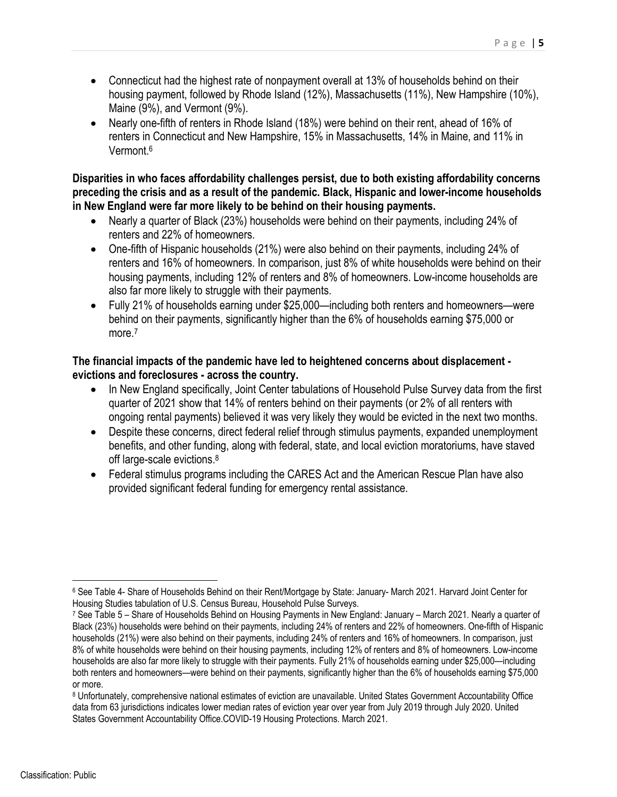- Connecticut had the highest rate of nonpayment overall at 13% of households behind on their housing payment, followed by Rhode Island (12%), Massachusetts (11%), New Hampshire (10%), Maine (9%), and Vermont (9%).
- Nearly one-fifth of renters in Rhode Island (18%) were behind on their rent, ahead of 16% of renters in Connecticut and New Hampshire, 15% in Massachusetts, 14% in Maine, and 11% in Vermont.6

**Disparities in who faces affordability challenges persist, due to both existing affordability concerns preceding the crisis and as a result of the pandemic. Black, Hispanic and lower-income households in New England were far more likely to be behind on their housing payments.** 

- Nearly a quarter of Black (23%) households were behind on their payments, including 24% of renters and 22% of homeowners.
- One-fifth of Hispanic households (21%) were also behind on their payments, including 24% of renters and 16% of homeowners. In comparison, just 8% of white households were behind on their housing payments, including 12% of renters and 8% of homeowners. Low-income households are also far more likely to struggle with their payments.
- Fully 21% of households earning under \$25,000—including both renters and homeowners—were behind on their payments, significantly higher than the 6% of households earning \$75,000 or more.<sup>7</sup>

## **The financial impacts of the pandemic have led to heightened concerns about displacement evictions and foreclosures - across the country.**

- In New England specifically, Joint Center tabulations of Household Pulse Survey data from the first quarter of 2021 show that 14% of renters behind on their payments (or 2% of all renters with ongoing rental payments) believed it was very likely they would be evicted in the next two months.
- Despite these concerns, direct federal relief through stimulus payments, expanded unemployment benefits, and other funding, along with federal, state, and local eviction moratoriums, have staved off large-scale evictions.<sup>8</sup>
- Federal stimulus programs including the CARES Act and the American Rescue Plan have also provided significant federal funding for emergency rental assistance.

<sup>6</sup> See Table 4- Share of Households Behind on their Rent/Mortgage by State: January- March 2021. Harvard Joint Center for Housing Studies tabulation of U.S. Census Bureau, Household Pulse Surveys.

<sup>7</sup> See Table 5 – Share of Households Behind on Housing Payments in New England: January – March 2021. Nearly a quarter of Black (23%) households were behind on their payments, including 24% of renters and 22% of homeowners. One-fifth of Hispanic households (21%) were also behind on their payments, including 24% of renters and 16% of homeowners. In comparison, just 8% of white households were behind on their housing payments, including 12% of renters and 8% of homeowners. Low-income households are also far more likely to struggle with their payments. Fully 21% of households earning under \$25,000—including both renters and homeowners—were behind on their payments, significantly higher than the 6% of households earning \$75,000 or more.

<sup>8</sup> Unfortunately, comprehensive national estimates of eviction are unavailable. United States Government Accountability Office data from 63 jurisdictions indicates lower median rates of eviction year over year from July 2019 through July 2020. United States Government Accountability Office.COVID-19 Housing Protections. March 2021.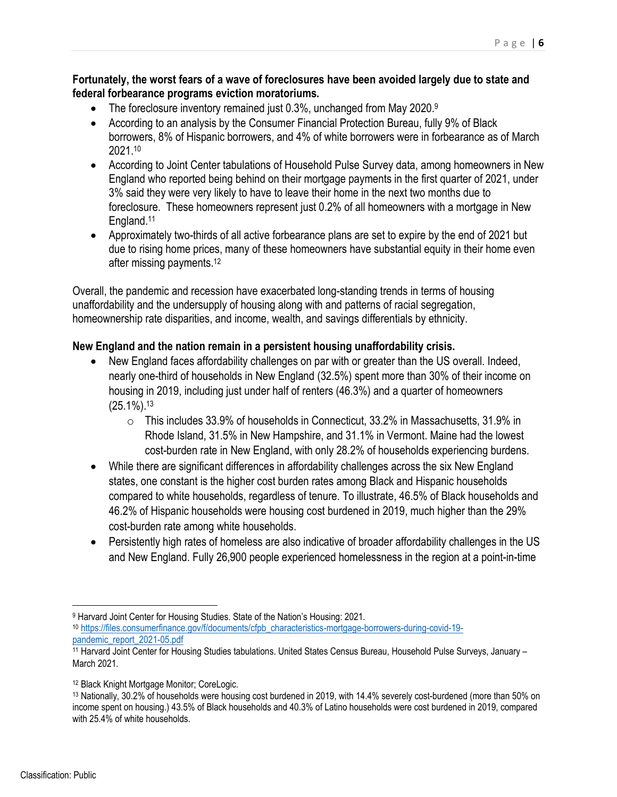### **Fortunately, the worst fears of a wave of foreclosures have been avoided largely due to state and federal forbearance programs eviction moratoriums.**

- $\bullet$  The foreclosure inventory remained just 0.3%, unchanged from May 2020.9
- According to an analysis by the Consumer Financial Protection Bureau, fully 9% of Black borrowers, 8% of Hispanic borrowers, and 4% of white borrowers were in forbearance as of March 2021.10
- According to Joint Center tabulations of Household Pulse Survey data, among homeowners in New England who reported being behind on their mortgage payments in the first quarter of 2021, under 3% said they were very likely to have to leave their home in the next two months due to foreclosure. These homeowners represent just 0.2% of all homeowners with a mortgage in New England.11
- Approximately two-thirds of all active forbearance plans are set to expire by the end of 2021 but due to rising home prices, many of these homeowners have substantial equity in their home even after missing payments.12

Overall, the pandemic and recession have exacerbated long-standing trends in terms of housing unaffordability and the undersupply of housing along with and patterns of racial segregation, homeownership rate disparities, and income, wealth, and savings differentials by ethnicity.

## **New England and the nation remain in a persistent housing unaffordability crisis.**

- New England faces affordability challenges on par with or greater than the US overall. Indeed, nearly one-third of households in New England (32.5%) spent more than 30% of their income on housing in 2019, including just under half of renters (46.3%) and a quarter of homeowners (25.1%).13
	- o This includes 33.9% of households in Connecticut, 33.2% in Massachusetts, 31.9% in Rhode Island, 31.5% in New Hampshire, and 31.1% in Vermont. Maine had the lowest cost-burden rate in New England, with only 28.2% of households experiencing burdens.
- While there are significant differences in affordability challenges across the six New England states, one constant is the higher cost burden rates among Black and Hispanic households compared to white households, regardless of tenure. To illustrate, 46.5% of Black households and 46.2% of Hispanic households were housing cost burdened in 2019, much higher than the 29% cost-burden rate among white households.
- Persistently high rates of homeless are also indicative of broader affordability challenges in the US and New England. Fully 26,900 people experienced homelessness in the region at a point-in-time

<sup>9</sup> Harvard Joint Center for Housing Studies. State of the Nation's Housing: 2021. <sup>10</sup> [https://files.consumerfinance.gov/f/documents/cfpb\\_characteristics-mortgage-borrowers-during-covid-19-](https://files.consumerfinance.gov/f/documents/cfpb_characteristics-mortgage-borrowers-during-covid-19-pandemic_report_2021-05.pdf)

pandemic\_report\_2021-05.pdf<br><sup>11</sup> Harvard Joint Center for Housing Studies tabulations. United States Census Bureau, Household Pulse Surveys, January – March 2021.

<sup>12</sup> Black Knight Mortgage Monitor; CoreLogic.

<sup>13</sup> Nationally, 30.2% of households were housing cost burdened in 2019, with 14.4% severely cost-burdened (more than 50% on income spent on housing.) 43.5% of Black households and 40.3% of Latino households were cost burdened in 2019, compared with 25.4% of white households.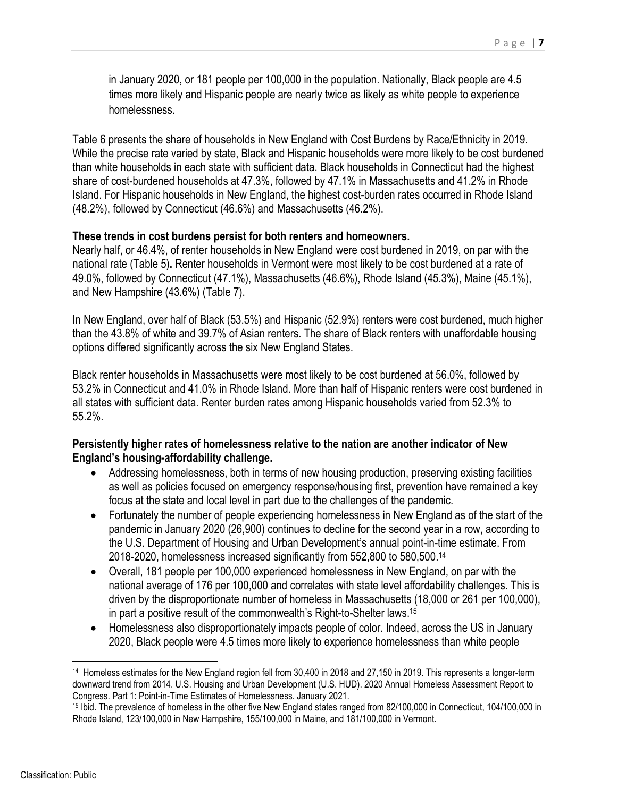in January 2020, or 181 people per 100,000 in the population. Nationally, Black people are 4.5 times more likely and Hispanic people are nearly twice as likely as white people to experience homelessness.

Table 6 presents the share of households in New England with Cost Burdens by Race/Ethnicity in 2019. While the precise rate varied by state, Black and Hispanic households were more likely to be cost burdened than white households in each state with sufficient data. Black households in Connecticut had the highest share of cost-burdened households at 47.3%, followed by 47.1% in Massachusetts and 41.2% in Rhode Island. For Hispanic households in New England, the highest cost-burden rates occurred in Rhode Island (48.2%), followed by Connecticut (46.6%) and Massachusetts (46.2%).

#### **These trends in cost burdens persist for both renters and homeowners.**

Nearly half, or 46.4%, of renter households in New England were cost burdened in 2019, on par with the national rate (Table 5)**.** Renter households in Vermont were most likely to be cost burdened at a rate of 49.0%, followed by Connecticut (47.1%), Massachusetts (46.6%), Rhode Island (45.3%), Maine (45.1%), and New Hampshire (43.6%) (Table 7).

In New England, over half of Black (53.5%) and Hispanic (52.9%) renters were cost burdened, much higher than the 43.8% of white and 39.7% of Asian renters. The share of Black renters with unaffordable housing options differed significantly across the six New England States.

Black renter households in Massachusetts were most likely to be cost burdened at 56.0%, followed by 53.2% in Connecticut and 41.0% in Rhode Island. More than half of Hispanic renters were cost burdened in all states with sufficient data. Renter burden rates among Hispanic households varied from 52.3% to 55.2%.

## **Persistently higher rates of homelessness relative to the nation are another indicator of New England's housing-affordability challenge.**

- Addressing homelessness, both in terms of new housing production, preserving existing facilities as well as policies focused on emergency response/housing first, prevention have remained a key focus at the state and local level in part due to the challenges of the pandemic.
- Fortunately the number of people experiencing homelessness in New England as of the start of the pandemic in January 2020 (26,900) continues to decline for the second year in a row, according to the U.S. Department of Housing and Urban Development's annual point-in-time estimate. From 2018-2020, homelessness increased significantly from 552,800 to 580,500.14
- Overall, 181 people per 100,000 experienced homelessness in New England, on par with the national average of 176 per 100,000 and correlates with state level affordability challenges. This is driven by the disproportionate number of homeless in Massachusetts (18,000 or 261 per 100,000), in part a positive result of the commonwealth's Right-to-Shelter laws.15
- Homelessness also disproportionately impacts people of color. Indeed, across the US in January 2020, Black people were 4.5 times more likely to experience homelessness than white people

<sup>14</sup> Homeless estimates for the New England region fell from 30,400 in 2018 and 27,150 in 2019. This represents a longer-term downward trend from 2014. U.S. Housing and Urban Development (U.S. HUD). 2020 Annual Homeless Assessment Report to Congress. Part 1: Point-in-Time Estimates of Homelessness. January 2021.

<sup>15</sup> Ibid. The prevalence of homeless in the other five New England states ranged from 82/100,000 in Connecticut, 104/100,000 in Rhode Island, 123/100,000 in New Hampshire, 155/100,000 in Maine, and 181/100,000 in Vermont.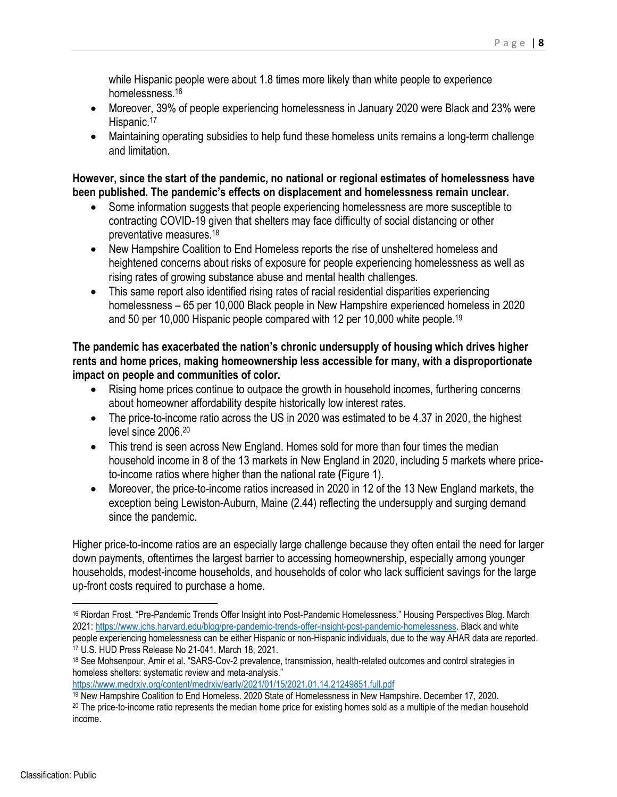while Hispanic people were about 1.8 times more likely than white people to experience homelessness.16

- Moreover, 39% of people experiencing homelessness in January 2020 were Black and 23% were Hispanic.<sup>17</sup>
- Maintaining operating subsidies to help fund these homeless units remains a long-term challenge and limitation.

**However, since the start of the pandemic, no national or regional estimates of homelessness have been published. The pandemic's effects on displacement and homelessness remain unclear.** 

- Some information suggests that people experiencing homelessness are more susceptible to contracting COVID-19 given that shelters may face difficulty of social distancing or other preventative measures.18
- New Hampshire Coalition to End Homeless reports the rise of unsheltered homeless and heightened concerns about risks of exposure for people experiencing homelessness as well as rising rates of growing substance abuse and mental health challenges.
- This same report also identified rising rates of racial residential disparities experiencing homelessness – 65 per 10,000 Black people in New Hampshire experienced homeless in 2020 and 50 per 10,000 Hispanic people compared with 12 per 10,000 white people.19

**The pandemic has exacerbated the nation's chronic undersupply of housing which drives higher rents and home prices, making homeownership less accessible for many, with a disproportionate impact on people and communities of color.** 

- Rising home prices continue to outpace the growth in household incomes, furthering concerns about homeowner affordability despite historically low interest rates.
- The price-to-income ratio across the US in 2020 was estimated to be 4.37 in 2020, the highest level since 2006.20
- This trend is seen across New England. Homes sold for more than four times the median household income in 8 of the 13 markets in New England in 2020, including 5 markets where priceto-income ratios where higher than the national rate **(**Figure 1).
- Moreover, the price-to-income ratios increased in 2020 in 12 of the 13 New England markets, the exception being Lewiston-Auburn, Maine (2.44) reflecting the undersupply and surging demand since the pandemic.

Higher price-to-income ratios are an especially large challenge because they often entail the need for larger down payments, oftentimes the largest barrier to accessing homeownership, especially among younger households, modest-income households, and households of color who lack sufficient savings for the large up-front costs required to purchase a home.

<https://www.medrxiv.org/content/medrxiv/early/2021/01/15/2021.01.14.21249851.full.pdf>

<sup>16</sup> Riordan Frost. "Pre-Pandemic Trends Offer Insight into Post-Pandemic Homelessness." Housing Perspectives Blog. March 2021: [https://www.jchs.harvard.edu/blog/pre-pandemic-trends-offer-insight-post-pandemic-homelessness.](https://www.jchs.harvard.edu/blog/pre-pandemic-trends-offer-insight-post-pandemic-homelessness) Black and white people experiencing homelessness can be either Hispanic or non-Hispanic individuals, due to the way AHAR data are reported. 17 U.S. HUD Press Release No 21-041. March 18, 2021.

<sup>18</sup> See Mohsenpour, Amir et al. "SARS-Cov-2 prevalence, transmission, health-related outcomes and control strategies in homeless shelters: systematic review and meta-analysis."

<sup>19</sup> New Hampshire Coalition to End Homeless. 2020 State of Homelessness in New Hampshire. December 17, 2020.

<sup>&</sup>lt;sup>20</sup> The price-to-income ratio represents the median home price for existing homes sold as a multiple of the median household income.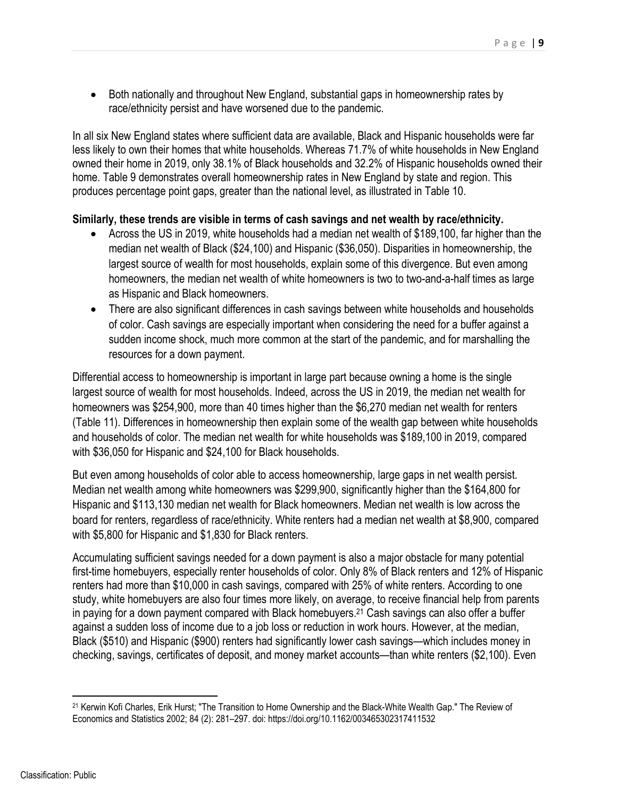• Both nationally and throughout New England, substantial gaps in homeownership rates by race/ethnicity persist and have worsened due to the pandemic.

In all six New England states where sufficient data are available, Black and Hispanic households were far less likely to own their homes that white households. Whereas 71.7% of white households in New England owned their home in 2019, only 38.1% of Black households and 32.2% of Hispanic households owned their home. Table 9 demonstrates overall homeownership rates in New England by state and region. This produces percentage point gaps, greater than the national level, as illustrated in Table 10.

#### **Similarly, these trends are visible in terms of cash savings and net wealth by race/ethnicity.**

- Across the US in 2019, white households had a median net wealth of \$189,100, far higher than the median net wealth of Black (\$24,100) and Hispanic (\$36,050). Disparities in homeownership, the largest source of wealth for most households, explain some of this divergence. But even among homeowners, the median net wealth of white homeowners is two to two-and-a-half times as large as Hispanic and Black homeowners.
- There are also significant differences in cash savings between white households and households of color. Cash savings are especially important when considering the need for a buffer against a sudden income shock, much more common at the start of the pandemic, and for marshalling the resources for a down payment.

Differential access to homeownership is important in large part because owning a home is the single largest source of wealth for most households. Indeed, across the US in 2019, the median net wealth for homeowners was \$254,900, more than 40 times higher than the \$6,270 median net wealth for renters (Table 11). Differences in homeownership then explain some of the wealth gap between white households and households of color. The median net wealth for white households was \$189,100 in 2019, compared with \$36,050 for Hispanic and \$24,100 for Black households.

But even among households of color able to access homeownership, large gaps in net wealth persist. Median net wealth among white homeowners was \$299,900, significantly higher than the \$164,800 for Hispanic and \$113,130 median net wealth for Black homeowners. Median net wealth is low across the board for renters, regardless of race/ethnicity. White renters had a median net wealth at \$8,900, compared with \$5,800 for Hispanic and \$1,830 for Black renters.

Accumulating sufficient savings needed for a down payment is also a major obstacle for many potential first-time homebuyers, especially renter households of color. Only 8% of Black renters and 12% of Hispanic renters had more than \$10,000 in cash savings, compared with 25% of white renters. According to one study, white homebuyers are also four times more likely, on average, to receive financial help from parents in paying for a down payment compared with Black homebuyers.<sup>21</sup> Cash savings can also offer a buffer against a sudden loss of income due to a job loss or reduction in work hours. However, at the median, Black (\$510) and Hispanic (\$900) renters had significantly lower cash savings—which includes money in checking, savings, certificates of deposit, and money market accounts—than white renters (\$2,100). Even

<sup>21</sup> Kerwin Kofi Charles, Erik Hurst; "The Transition to Home Ownership and the Black-White Wealth Gap." The Review of Economics and Statistics 2002; 84 (2): 281–297. doi: <https://doi.org/10.1162/003465302317411532>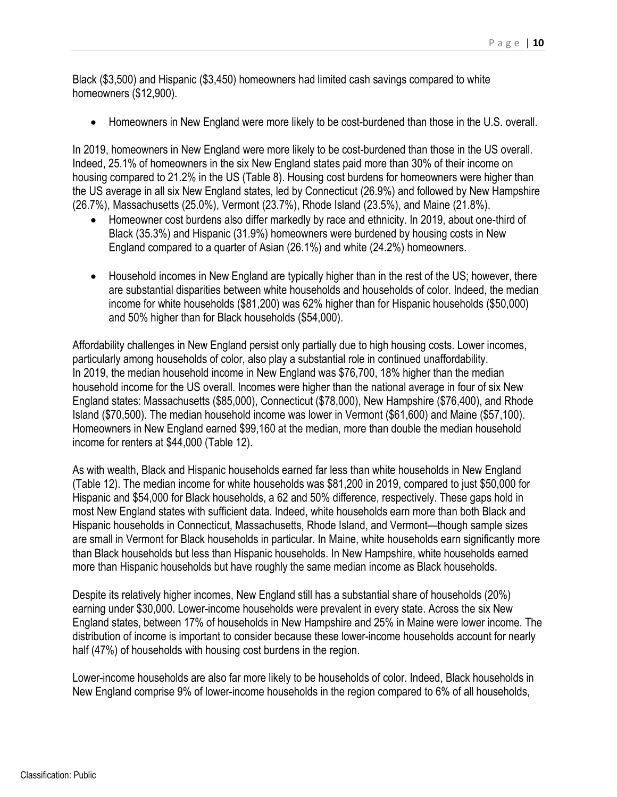Black (\$3,500) and Hispanic (\$3,450) homeowners had limited cash savings compared to white homeowners (\$12,900).

Homeowners in New England were more likely to be cost-burdened than those in the U.S. overall.

In 2019, homeowners in New England were more likely to be cost-burdened than those in the US overall. Indeed, 25.1% of homeowners in the six New England states paid more than 30% of their income on housing compared to 21.2% in the US (Table 8). Housing cost burdens for homeowners were higher than the US average in all six New England states, led by Connecticut (26.9%) and followed by New Hampshire (26.7%), Massachusetts (25.0%), Vermont (23.7%), Rhode Island (23.5%), and Maine (21.8%).

- Homeowner cost burdens also differ markedly by race and ethnicity. In 2019, about one-third of Black (35.3%) and Hispanic (31.9%) homeowners were burdened by housing costs in New England compared to a quarter of Asian (26.1%) and white (24.2%) homeowners.
- Household incomes in New England are typically higher than in the rest of the US; however, there are substantial disparities between white households and households of color. Indeed, the median income for white households (\$81,200) was 62% higher than for Hispanic households (\$50,000) and 50% higher than for Black households (\$54,000).

Affordability challenges in New England persist only partially due to high housing costs. Lower incomes, particularly among households of color, also play a substantial role in continued unaffordability. In 2019, the median household income in New England was \$76,700, 18% higher than the median household income for the US overall. Incomes were higher than the national average in four of six New England states: Massachusetts (\$85,000), Connecticut (\$78,000), New Hampshire (\$76,400), and Rhode Island (\$70,500). The median household income was lower in Vermont (\$61,600) and Maine (\$57,100). Homeowners in New England earned \$99,160 at the median, more than double the median household income for renters at \$44,000 (Table 12).

As with wealth, Black and Hispanic households earned far less than white households in New England (Table 12). The median income for white households was \$81,200 in 2019, compared to just \$50,000 for Hispanic and \$54,000 for Black households, a 62 and 50% difference, respectively. These gaps hold in most New England states with sufficient data. Indeed, white households earn more than both Black and Hispanic households in Connecticut, Massachusetts, Rhode Island, and Vermont—though sample sizes are small in Vermont for Black households in particular. In Maine, white households earn significantly more than Black households but less than Hispanic households. In New Hampshire, white households earned more than Hispanic households but have roughly the same median income as Black households.

Despite its relatively higher incomes, New England still has a substantial share of households (20%) earning under \$30,000. Lower-income households were prevalent in every state. Across the six New England states, between 17% of households in New Hampshire and 25% in Maine were lower income. The distribution of income is important to consider because these lower-income households account for nearly half (47%) of households with housing cost burdens in the region.

Lower-income households are also far more likely to be households of color. Indeed, Black households in New England comprise 9% of lower-income households in the region compared to 6% of all households,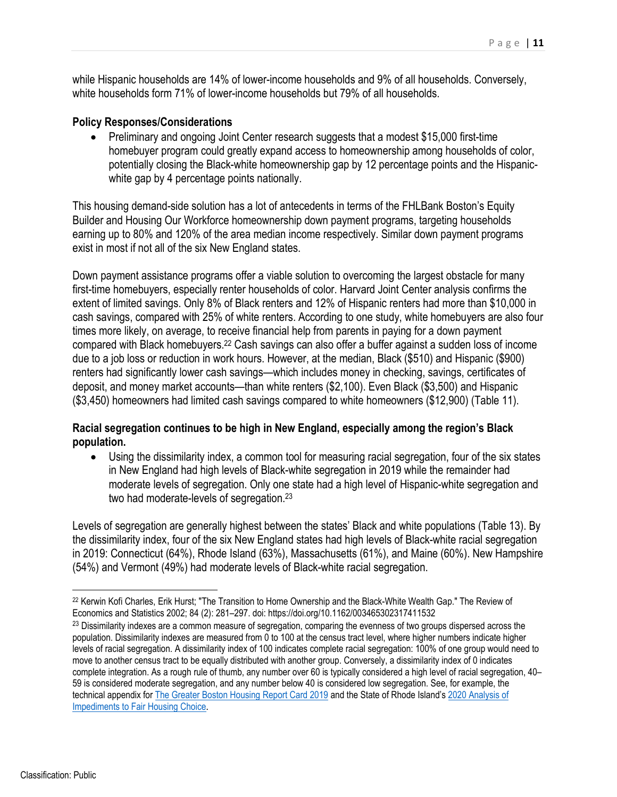while Hispanic households are 14% of lower-income households and 9% of all households. Conversely, white households form 71% of lower-income households but 79% of all households.

#### **Policy Responses/Considerations**

• Preliminary and ongoing Joint Center research suggests that a modest \$15,000 first-time homebuyer program could greatly expand access to homeownership among households of color, potentially closing the Black-white homeownership gap by 12 percentage points and the Hispanicwhite gap by 4 percentage points nationally.

This housing demand-side solution has a lot of antecedents in terms of the FHLBank Boston's Equity Builder and Housing Our Workforce homeownership down payment programs, targeting households earning up to 80% and 120% of the area median income respectively. Similar down payment programs exist in most if not all of the six New England states.

Down payment assistance programs offer a viable solution to overcoming the largest obstacle for many first-time homebuyers, especially renter households of color. Harvard Joint Center analysis confirms the extent of limited savings. Only 8% of Black renters and 12% of Hispanic renters had more than \$10,000 in cash savings, compared with 25% of white renters. According to one study, white homebuyers are also four times more likely, on average, to receive financial help from parents in paying for a down payment compared with Black homebuyers.22 Cash savings can also offer a buffer against a sudden loss of income due to a job loss or reduction in work hours. However, at the median, Black (\$510) and Hispanic (\$900) renters had significantly lower cash savings—which includes money in checking, savings, certificates of deposit, and money market accounts—than white renters (\$2,100). Even Black (\$3,500) and Hispanic (\$3,450) homeowners had limited cash savings compared to white homeowners (\$12,900) (Table 11).

## **Racial segregation continues to be high in New England, especially among the region's Black population.**

 Using the dissimilarity index, a common tool for measuring racial segregation, four of the six states in New England had high levels of Black-white segregation in 2019 while the remainder had moderate levels of segregation. Only one state had a high level of Hispanic-white segregation and two had moderate-levels of segregation.23

Levels of segregation are generally highest between the states' Black and white populations (Table 13). By the dissimilarity index, four of the six New England states had high levels of Black-white racial segregation in 2019: Connecticut (64%), Rhode Island (63%), Massachusetts (61%), and Maine (60%). New Hampshire (54%) and Vermont (49%) had moderate levels of Black-white racial segregation.

<sup>22</sup> Kerwin Kofi Charles, Erik Hurst; "The Transition to Home Ownership and the Black-White Wealth Gap." The Review of Economics and Statistics 2002; 84 (2): 281–297. doi:<https://doi.org/10.1162/003465302317411532>

<sup>&</sup>lt;sup>23</sup> Dissimilarity indexes are a common measure of segregation, comparing the evenness of two groups dispersed across the population. Dissimilarity indexes are measured from 0 to 100 at the census tract level, where higher numbers indicate higher levels of racial segregation. A dissimilarity index of 100 indicates complete racial segregation: 100% of one group would need to move to another census tract to be equally distributed with another group. Conversely, a dissimilarity index of 0 indicates complete integration. As a rough rule of thumb, any number over 60 is typically considered a high level of racial segregation, 40– 59 is considered moderate segregation, and any number below 40 is considered low segregation. See, for example, the technical appendix for The Greater Boston Housing Report Card 2019 and the State of Rhode Island's 2020 Analysis of Impediments to Fair Housing Choice.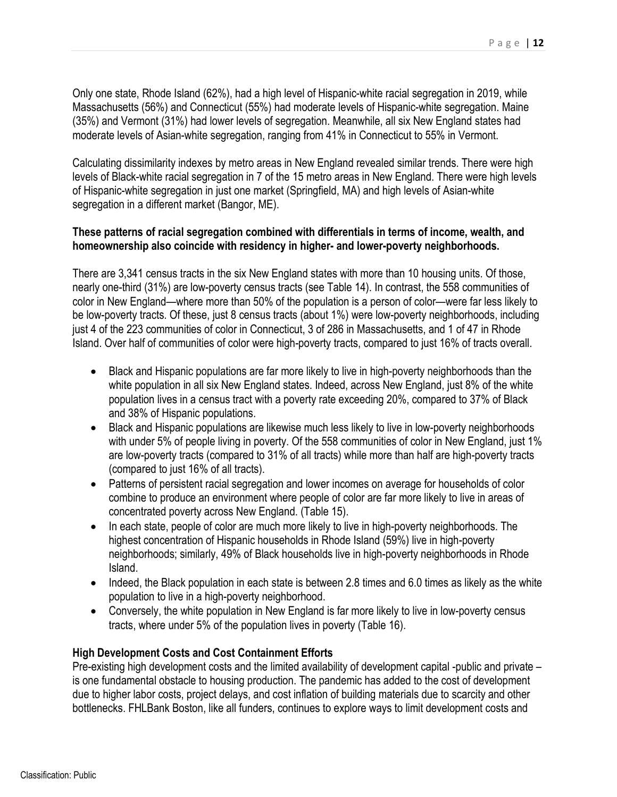Only one state, Rhode Island (62%), had a high level of Hispanic-white racial segregation in 2019, while Massachusetts (56%) and Connecticut (55%) had moderate levels of Hispanic-white segregation. Maine (35%) and Vermont (31%) had lower levels of segregation. Meanwhile, all six New England states had moderate levels of Asian-white segregation, ranging from 41% in Connecticut to 55% in Vermont.

Calculating dissimilarity indexes by metro areas in New England revealed similar trends. There were high levels of Black-white racial segregation in 7 of the 15 metro areas in New England. There were high levels of Hispanic-white segregation in just one market (Springfield, MA) and high levels of Asian-white segregation in a different market (Bangor, ME).

#### **These patterns of racial segregation combined with differentials in terms of income, wealth, and homeownership also coincide with residency in higher- and lower-poverty neighborhoods.**

There are 3,341 census tracts in the six New England states with more than 10 housing units. Of those, nearly one-third (31%) are low-poverty census tracts (see Table 14). In contrast, the 558 communities of color in New England—where more than 50% of the population is a person of color—were far less likely to be low-poverty tracts. Of these, just 8 census tracts (about 1%) were low-poverty neighborhoods, including just 4 of the 223 communities of color in Connecticut, 3 of 286 in Massachusetts, and 1 of 47 in Rhode Island. Over half of communities of color were high-poverty tracts, compared to just 16% of tracts overall.

- Black and Hispanic populations are far more likely to live in high-poverty neighborhoods than the white population in all six New England states. Indeed, across New England, just 8% of the white population lives in a census tract with a poverty rate exceeding 20%, compared to 37% of Black and 38% of Hispanic populations.
- Black and Hispanic populations are likewise much less likely to live in low-poverty neighborhoods with under 5% of people living in poverty. Of the 558 communities of color in New England, just 1% are low-poverty tracts (compared to 31% of all tracts) while more than half are high-poverty tracts (compared to just 16% of all tracts).
- Patterns of persistent racial segregation and lower incomes on average for households of color combine to produce an environment where people of color are far more likely to live in areas of concentrated poverty across New England. (Table 15).
- In each state, people of color are much more likely to live in high-poverty neighborhoods. The highest concentration of Hispanic households in Rhode Island (59%) live in high-poverty neighborhoods; similarly, 49% of Black households live in high-poverty neighborhoods in Rhode Island.
- Indeed, the Black population in each state is between 2.8 times and 6.0 times as likely as the white population to live in a high-poverty neighborhood.
- Conversely, the white population in New England is far more likely to live in low-poverty census tracts, where under 5% of the population lives in poverty (Table 16).

## **High Development Costs and Cost Containment Efforts**

Pre-existing high development costs and the limited availability of development capital -public and private – is one fundamental obstacle to housing production. The pandemic has added to the cost of development due to higher labor costs, project delays, and cost inflation of building materials due to scarcity and other bottlenecks. FHLBank Boston, like all funders, continues to explore ways to limit development costs and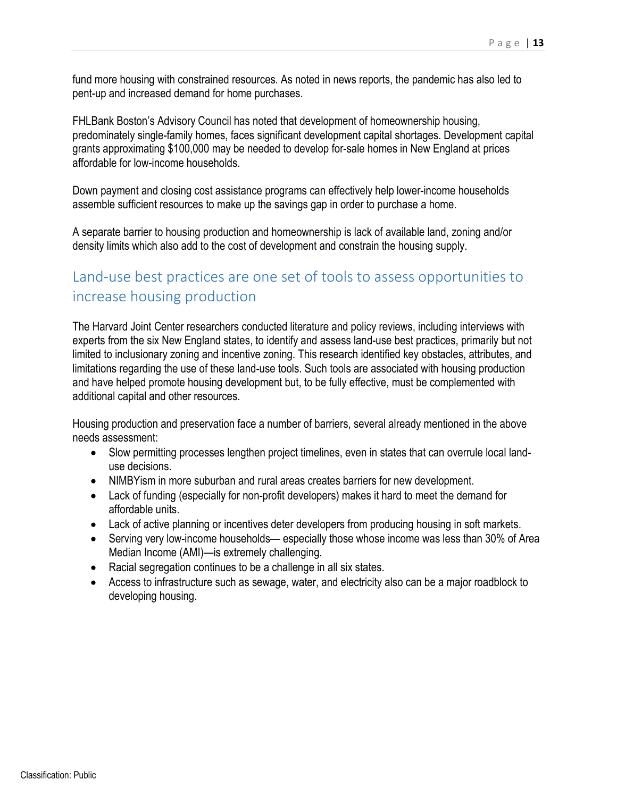fund more housing with constrained resources. As noted in news reports, the pandemic has also led to pent-up and increased demand for home purchases.

FHLBank Boston's Advisory Council has noted that development of homeownership housing, predominately single-family homes, faces significant development capital shortages. Development capital grants approximating \$100,000 may be needed to develop for-sale homes in New England at prices affordable for low-income households.

Down payment and closing cost assistance programs can effectively help lower-income households assemble sufficient resources to make up the savings gap in order to purchase a home.

A separate barrier to housing production and homeownership is lack of available land, zoning and/or density limits which also add to the cost of development and constrain the housing supply.

# Land-use best practices are one set of tools to assess opportunities to increase housing production

The Harvard Joint Center researchers conducted literature and policy reviews, including interviews with experts from the six New England states, to identify and assess land-use best practices, primarily but not limited to inclusionary zoning and incentive zoning. This research identified key obstacles, attributes, and limitations regarding the use of these land-use tools. Such tools are associated with housing production and have helped promote housing development but, to be fully effective, must be complemented with additional capital and other resources.

Housing production and preservation face a number of barriers, several already mentioned in the above needs assessment:

- Slow permitting processes lengthen project timelines, even in states that can overrule local landuse decisions.
- NIMBYism in more suburban and rural areas creates barriers for new development.
- Lack of funding (especially for non-profit developers) makes it hard to meet the demand for affordable units.
- Lack of active planning or incentives deter developers from producing housing in soft markets.
- Serving very low-income households— especially those whose income was less than 30% of Area Median Income (AMI)—is extremely challenging.
- Racial segregation continues to be a challenge in all six states.
- Access to infrastructure such as sewage, water, and electricity also can be a major roadblock to developing housing.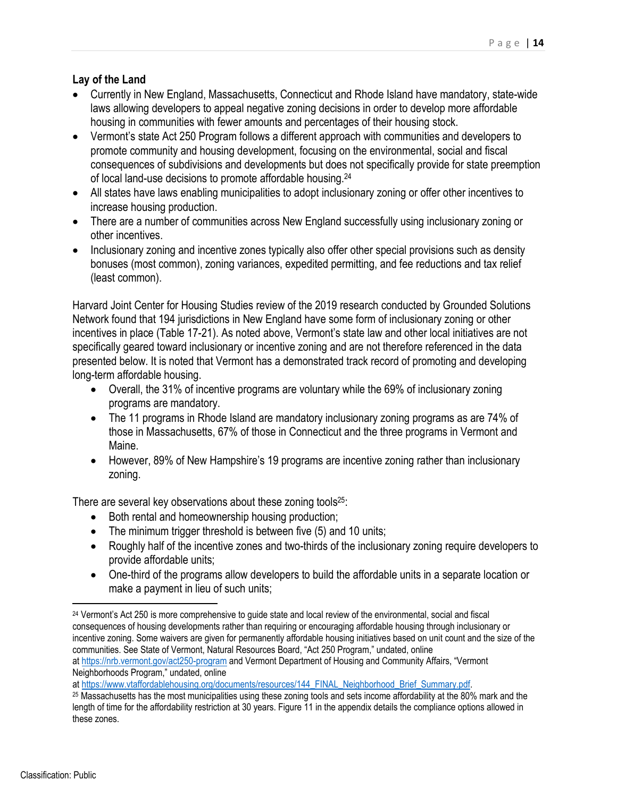## **Lay of the Land**

- Currently in New England, Massachusetts, Connecticut and Rhode Island have mandatory, state-wide laws allowing developers to appeal negative zoning decisions in order to develop more affordable housing in communities with fewer amounts and percentages of their housing stock.
- Vermont's state Act 250 Program follows a different approach with communities and developers to promote community and housing development, focusing on the environmental, social and fiscal consequences of subdivisions and developments but does not specifically provide for state preemption of local land-use decisions to promote affordable housing.24
- All states have laws enabling municipalities to adopt inclusionary zoning or offer other incentives to increase housing production.
- There are a number of communities across New England successfully using inclusionary zoning or other incentives.
- Inclusionary zoning and incentive zones typically also offer other special provisions such as density bonuses (most common), zoning variances, expedited permitting, and fee reductions and tax relief (least common).

Harvard Joint Center for Housing Studies review of the 2019 research conducted by Grounded Solutions Network found that 194 jurisdictions in New England have some form of inclusionary zoning or other incentives in place (Table 17-21). As noted above, Vermont's state law and other local initiatives are not specifically geared toward inclusionary or incentive zoning and are not therefore referenced in the data presented below. It is noted that Vermont has a demonstrated track record of promoting and developing long-term affordable housing.

- Overall, the 31% of incentive programs are voluntary while the 69% of inclusionary zoning programs are mandatory.
- The 11 programs in Rhode Island are mandatory inclusionary zoning programs as are 74% of those in Massachusetts, 67% of those in Connecticut and the three programs in Vermont and Maine.
- However, 89% of New Hampshire's 19 programs are incentive zoning rather than inclusionary zoning.

There are several key observations about these zoning tools<sup>25</sup>:

- Both rental and homeownership housing production;
- The minimum trigger threshold is between five (5) and 10 units;
- Roughly half of the incentive zones and two-thirds of the inclusionary zoning require developers to provide affordable units;
- One-third of the programs allow developers to build the affordable units in a separate location or make a payment in lieu of such units;

at<https://nrb.vermont.gov/act250-program> and Vermont Department of Housing and Community Affairs, "Vermont Neighborhoods Program," undated, online<br>at https://www.vtaffordablehousing.org/documents/resources/144 FINAL Neighborhood Brief Summary.pdf.

<sup>&</sup>lt;sup>24</sup> Vermont's Act 250 is more comprehensive to guide state and local review of the environmental, social and fiscal consequences of housing developments rather than requiring or encouraging affordable housing through inclusionary or incentive zoning. Some waivers are given for permanently affordable housing initiatives based on unit count and the size of the communities. See State of Vermont, Natural Resources Board, "Act 250 Program," undated, online

 $25$  Massachusetts has the most municipalities using these zoning tools and sets income affordability at the 80% mark and the length of time for the affordability restriction at 30 years. Figure 11 in the appendix details the compliance options allowed in these zones.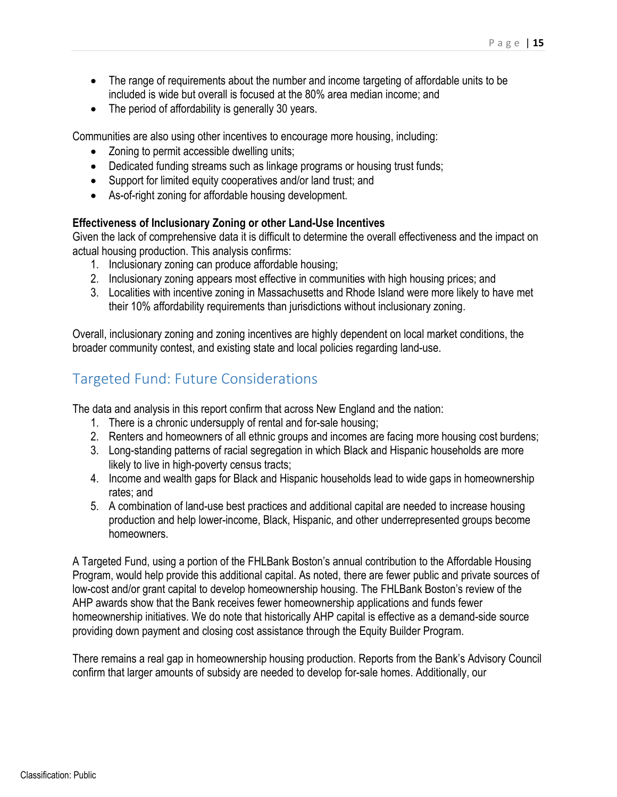- The range of requirements about the number and income targeting of affordable units to be included is wide but overall is focused at the 80% area median income; and
- The period of affordability is generally 30 years.

Communities are also using other incentives to encourage more housing, including:

- Zoning to permit accessible dwelling units;
- Dedicated funding streams such as linkage programs or housing trust funds;
- Support for limited equity cooperatives and/or land trust; and
- As-of-right zoning for affordable housing development.

#### **Effectiveness of Inclusionary Zoning or other Land-Use Incentives**

Given the lack of comprehensive data it is difficult to determine the overall effectiveness and the impact on actual housing production. This analysis confirms:

- 1. Inclusionary zoning can produce affordable housing;
- 2. Inclusionary zoning appears most effective in communities with high housing prices; and
- 3. Localities with incentive zoning in Massachusetts and Rhode Island were more likely to have met their 10% affordability requirements than jurisdictions without inclusionary zoning.

Overall, inclusionary zoning and zoning incentives are highly dependent on local market conditions, the broader community contest, and existing state and local policies regarding land-use.

## Targeted Fund: Future Considerations

The data and analysis in this report confirm that across New England and the nation:

- 1. There is a chronic undersupply of rental and for-sale housing;
- 2. Renters and homeowners of all ethnic groups and incomes are facing more housing cost burdens;
- 3. Long-standing patterns of racial segregation in which Black and Hispanic households are more likely to live in high-poverty census tracts;
- 4. Income and wealth gaps for Black and Hispanic households lead to wide gaps in homeownership rates; and
- 5. A combination of land-use best practices and additional capital are needed to increase housing production and help lower-income, Black, Hispanic, and other underrepresented groups become homeowners.

A Targeted Fund, using a portion of the FHLBank Boston's annual contribution to the Affordable Housing Program, would help provide this additional capital. As noted, there are fewer public and private sources of low-cost and/or grant capital to develop homeownership housing. The FHLBank Boston's review of the AHP awards show that the Bank receives fewer homeownership applications and funds fewer homeownership initiatives. We do note that historically AHP capital is effective as a demand-side source providing down payment and closing cost assistance through the Equity Builder Program.

There remains a real gap in homeownership housing production. Reports from the Bank's Advisory Council confirm that larger amounts of subsidy are needed to develop for-sale homes. Additionally, our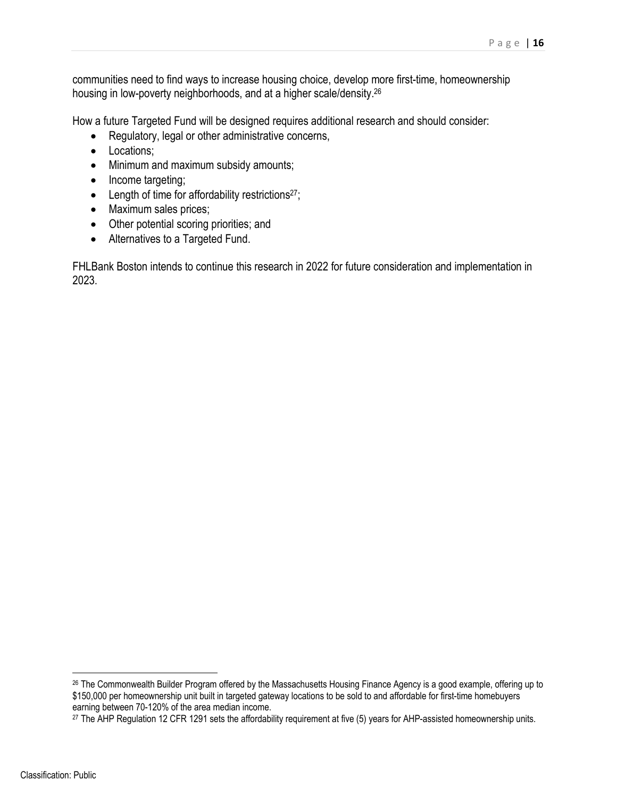communities need to find ways to increase housing choice, develop more first-time, homeownership housing in low-poverty neighborhoods, and at a higher scale/density.26

How a future Targeted Fund will be designed requires additional research and should consider:

- Regulatory, legal or other administrative concerns,
- Locations:
- Minimum and maximum subsidy amounts;
- Income targeting;
- **•** Length of time for affordability restrictions<sup>27</sup>;
- Maximum sales prices;
- Other potential scoring priorities; and
- Alternatives to a Targeted Fund.

FHLBank Boston intends to continue this research in 2022 for future consideration and implementation in 2023.

<sup>26</sup> The Commonwealth Builder Program offered by the Massachusetts Housing Finance Agency is a good example, offering up to \$150,000 per homeownership unit built in targeted gateway locations to be sold to and affordable for first-time homebuyers earning between 70-120% of the area median income.

<sup>&</sup>lt;sup>27</sup> The AHP Regulation 12 CFR 1291 sets the affordability requirement at five (5) years for AHP-assisted homeownership units.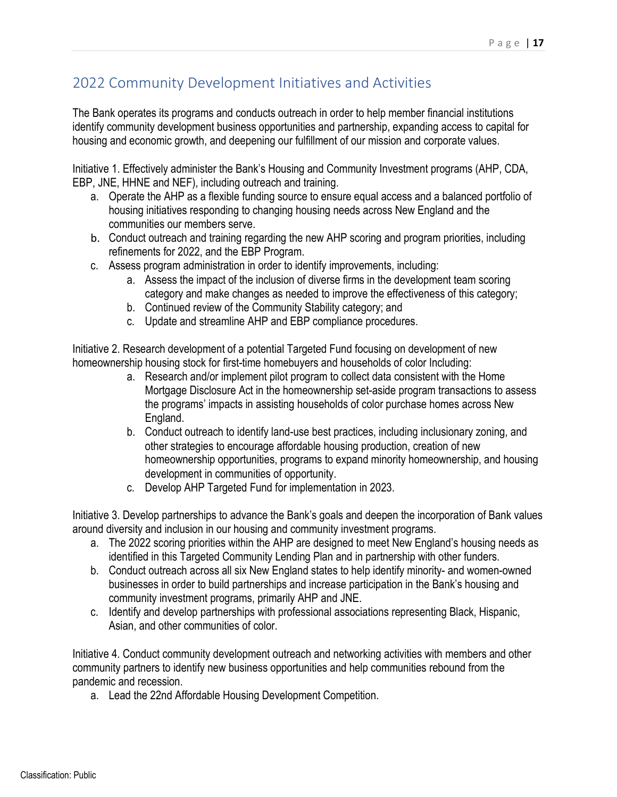# 2022 Community Development Initiatives and Activities

The Bank operates its programs and conducts outreach in order to help member financial institutions identify community development business opportunities and partnership, expanding access to capital for housing and economic growth, and deepening our fulfillment of our mission and corporate values.

Initiative 1. Effectively administer the Bank's Housing and Community Investment programs (AHP, CDA, EBP, JNE, HHNE and NEF), including outreach and training.

- a. Operate the AHP as a flexible funding source to ensure equal access and a balanced portfolio of housing initiatives responding to changing housing needs across New England and the communities our members serve.
- b. Conduct outreach and training regarding the new AHP scoring and program priorities, including refinements for 2022, and the EBP Program.
- c. Assess program administration in order to identify improvements, including:
	- a. Assess the impact of the inclusion of diverse firms in the development team scoring category and make changes as needed to improve the effectiveness of this category;
	- b. Continued review of the Community Stability category; and
	- c. Update and streamline AHP and EBP compliance procedures.

Initiative 2. Research development of a potential Targeted Fund focusing on development of new homeownership housing stock for first-time homebuyers and households of color Including:

- a. Research and/or implement pilot program to collect data consistent with the Home Mortgage Disclosure Act in the homeownership set-aside program transactions to assess the programs' impacts in assisting households of color purchase homes across New England.
- b. Conduct outreach to identify land-use best practices, including inclusionary zoning, and other strategies to encourage affordable housing production, creation of new homeownership opportunities, programs to expand minority homeownership, and housing development in communities of opportunity.
- c. Develop AHP Targeted Fund for implementation in 2023.

Initiative 3. Develop partnerships to advance the Bank's goals and deepen the incorporation of Bank values around diversity and inclusion in our housing and community investment programs.

- a. The 2022 scoring priorities within the AHP are designed to meet New England's housing needs as identified in this Targeted Community Lending Plan and in partnership with other funders.
- b. Conduct outreach across all six New England states to help identify minority- and women-owned businesses in order to build partnerships and increase participation in the Bank's housing and community investment programs, primarily AHP and JNE.
- c. Identify and develop partnerships with professional associations representing Black, Hispanic, Asian, and other communities of color.

Initiative 4. Conduct community development outreach and networking activities with members and other community partners to identify new business opportunities and help communities rebound from the pandemic and recession.

a. Lead the 22nd Affordable Housing Development Competition.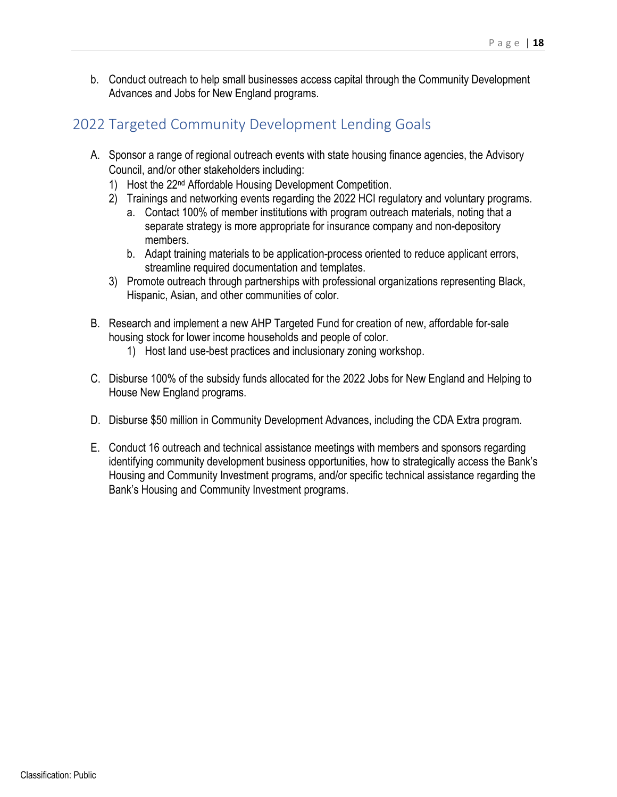b. Conduct outreach to help small businesses access capital through the Community Development Advances and Jobs for New England programs.

# 2022 Targeted Community Development Lending Goals

- A. Sponsor a range of regional outreach events with state housing finance agencies, the Advisory Council, and/or other stakeholders including:
	- 1) Host the 22nd Affordable Housing Development Competition.
	- 2) Trainings and networking events regarding the 2022 HCI regulatory and voluntary programs.
		- a. Contact 100% of member institutions with program outreach materials, noting that a separate strategy is more appropriate for insurance company and non-depository members.
		- b. Adapt training materials to be application-process oriented to reduce applicant errors, streamline required documentation and templates.
	- 3) Promote outreach through partnerships with professional organizations representing Black, Hispanic, Asian, and other communities of color.
- B. Research and implement a new AHP Targeted Fund for creation of new, affordable for-sale housing stock for lower income households and people of color.
	- 1) Host land use-best practices and inclusionary zoning workshop.
- C. Disburse 100% of the subsidy funds allocated for the 2022 Jobs for New England and Helping to House New England programs.
- D. Disburse \$50 million in Community Development Advances, including the CDA Extra program.
- E. Conduct 16 outreach and technical assistance meetings with members and sponsors regarding identifying community development business opportunities, how to strategically access the Bank's Housing and Community Investment programs, and/or specific technical assistance regarding the Bank's Housing and Community Investment programs.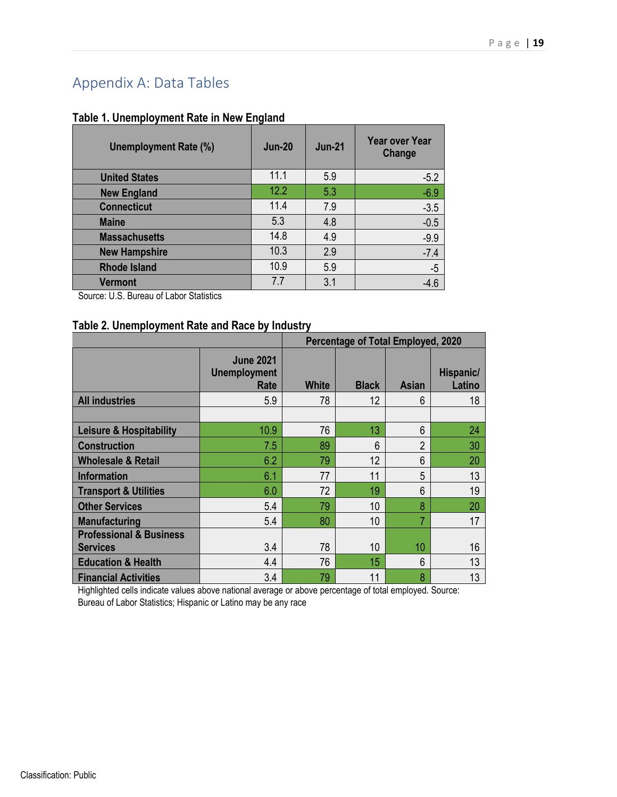# Appendix A: Data Tables

# **Table 1. Unemployment Rate in New England**

| <b>Unemployment Rate (%)</b> | <b>Jun-20</b> | <b>Jun-21</b> | <b>Year over Year</b><br>Change |
|------------------------------|---------------|---------------|---------------------------------|
| <b>United States</b>         | 11.1          | 5.9           | $-5.2$                          |
| <b>New England</b>           | 12.2          | 5.3           | $-6.9$                          |
| <b>Connecticut</b>           | 11.4          | 7.9           | $-3.5$                          |
| <b>Maine</b>                 | 5.3           | 4.8           | $-0.5$                          |
| <b>Massachusetts</b>         | 14.8          | 4.9           | $-9.9$                          |
| <b>New Hampshire</b>         | 10.3          | 2.9           | $-7.4$                          |
| <b>Rhode Island</b>          | 10.9          | 5.9           | $-5$                            |
| <b>Vermont</b>               | 7.7           | 3.1           |                                 |

Source: U.S. Bureau of Labor Statistics

## **Table 2. Unemployment Rate and Race by Industry**

|                                                       |                                                 | Percentage of Total Employed, 2020 |              |                |                     |  |  |
|-------------------------------------------------------|-------------------------------------------------|------------------------------------|--------------|----------------|---------------------|--|--|
|                                                       | <b>June 2021</b><br><b>Unemployment</b><br>Rate | <b>White</b>                       | <b>Black</b> | <b>Asian</b>   | Hispanic/<br>Latino |  |  |
| <b>All industries</b>                                 | 5.9                                             | 78                                 | 12           | 6              | 18                  |  |  |
|                                                       |                                                 |                                    |              |                |                     |  |  |
| <b>Leisure &amp; Hospitability</b>                    | 10.9                                            | 76                                 | 13           | 6              | 24                  |  |  |
| <b>Construction</b>                                   | 7.5                                             | 89                                 | 6            | $\overline{2}$ | 30                  |  |  |
| <b>Wholesale &amp; Retail</b>                         | 6.2                                             | 79                                 | 12           | 6              | 20                  |  |  |
| <b>Information</b>                                    | 6.1                                             | 77                                 | 11           | 5              | 13                  |  |  |
| <b>Transport &amp; Utilities</b>                      | 6.0                                             | 72                                 | 19           | 6              | 19                  |  |  |
| <b>Other Services</b>                                 | 5.4                                             | 79                                 | 10           | 8              | 20                  |  |  |
| <b>Manufacturing</b>                                  | 5.4                                             | 80                                 | 10           | 7              | 17                  |  |  |
| <b>Professional &amp; Business</b><br><b>Services</b> | 3.4                                             | 78                                 | 10           | 10             | 16                  |  |  |
| <b>Education &amp; Health</b>                         | 4.4                                             | 76                                 | 15           | 6              | 13                  |  |  |
| <b>Financial Activities</b>                           | 3.4                                             | 79                                 | 11           | 8              | 13                  |  |  |

Highlighted cells indicate values above national average or above percentage of total employed. Source: Bureau of Labor Statistics; Hispanic or Latino may be any race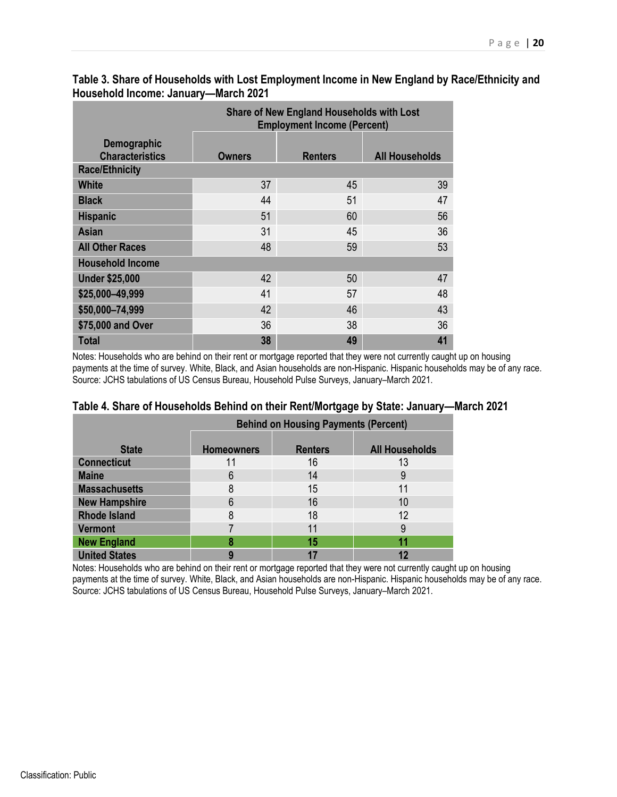|                                       | <b>Share of New England Households with Lost</b><br><b>Employment Income (Percent)</b> |                |                       |  |  |  |  |  |
|---------------------------------------|----------------------------------------------------------------------------------------|----------------|-----------------------|--|--|--|--|--|
| Demographic<br><b>Characteristics</b> | Owners                                                                                 | <b>Renters</b> | <b>All Households</b> |  |  |  |  |  |
| <b>Race/Ethnicity</b>                 |                                                                                        |                |                       |  |  |  |  |  |
| White                                 | 37                                                                                     | 45             | 39                    |  |  |  |  |  |
| <b>Black</b>                          | 44                                                                                     | 51             | 47                    |  |  |  |  |  |
| <b>Hispanic</b>                       | 51                                                                                     | 60             | 56                    |  |  |  |  |  |
| <b>Asian</b>                          | 31                                                                                     | 45             | 36                    |  |  |  |  |  |
| <b>All Other Races</b>                | 48                                                                                     | 59             | 53                    |  |  |  |  |  |
| <b>Household Income</b>               |                                                                                        |                |                       |  |  |  |  |  |
| <b>Under \$25,000</b>                 | 42                                                                                     | 50             | 47                    |  |  |  |  |  |
| \$25,000-49,999                       | 41                                                                                     | 57             | 48                    |  |  |  |  |  |
| \$50,000-74,999                       | 42                                                                                     | 46             | 43                    |  |  |  |  |  |
| \$75,000 and Over                     | 36                                                                                     | 38             | 36                    |  |  |  |  |  |
| <b>Total</b>                          | 38                                                                                     | 49             | 41                    |  |  |  |  |  |

### **Table 3. Share of Households with Lost Employment Income in New England by Race/Ethnicity and Household Income: January—March 2021**

Notes: Households who are behind on their rent or mortgage reported that they were not currently caught up on housing payments at the time of survey. White, Black, and Asian households are non-Hispanic. Hispanic households may be of any race. Source: JCHS tabulations of US Census Bureau, Household Pulse Surveys, January–March 2021.

|                      |                   | <b>Behind on Housing Payments (Percent)</b> |                       |
|----------------------|-------------------|---------------------------------------------|-----------------------|
| <b>State</b>         | <b>Homeowners</b> | <b>Renters</b>                              | <b>All Households</b> |
| <b>Connecticut</b>   |                   | 16                                          | 13                    |
| <b>Maine</b>         | 6                 | 14                                          |                       |
| <b>Massachusetts</b> | 8                 | 15                                          |                       |
| <b>New Hampshire</b> | 6                 | 16                                          | 10                    |
| <b>Rhode Island</b>  | 8                 | 18                                          | 12                    |
| <b>Vermont</b>       |                   |                                             |                       |
| <b>New England</b>   |                   | 15                                          |                       |
| <b>United States</b> |                   |                                             |                       |

#### **Table 4. Share of Households Behind on their Rent/Mortgage by State: January—March 2021**

Notes: Households who are behind on their rent or mortgage reported that they were not currently caught up on housing payments at the time of survey. White, Black, and Asian households are non-Hispanic. Hispanic households may be of any race. Source: JCHS tabulations of US Census Bureau, Household Pulse Surveys, January–March 2021.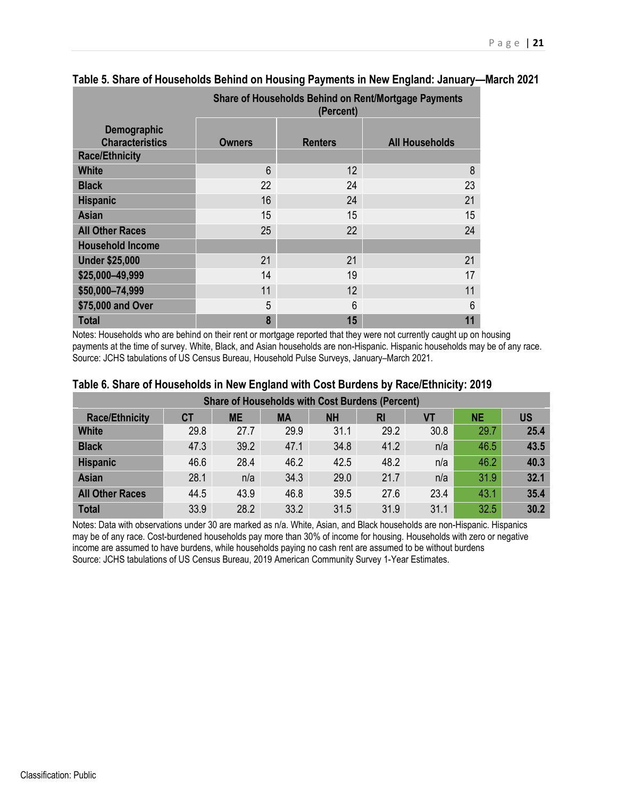|                                       | Share of Households Behind on Rent/Mortgage Payments<br>(Percent) |                |                       |  |  |  |  |  |
|---------------------------------------|-------------------------------------------------------------------|----------------|-----------------------|--|--|--|--|--|
| Demographic<br><b>Characteristics</b> | <b>Owners</b>                                                     | <b>Renters</b> | <b>All Households</b> |  |  |  |  |  |
| <b>Race/Ethnicity</b>                 |                                                                   |                |                       |  |  |  |  |  |
| <b>White</b>                          | 6                                                                 | 12             | 8                     |  |  |  |  |  |
| <b>Black</b>                          | 22                                                                | 24             | 23                    |  |  |  |  |  |
| <b>Hispanic</b>                       | 16                                                                | 24             | 21                    |  |  |  |  |  |
| <b>Asian</b>                          | 15                                                                | 15             | 15                    |  |  |  |  |  |
| <b>All Other Races</b>                | 25                                                                | 22             | 24                    |  |  |  |  |  |
| <b>Household Income</b>               |                                                                   |                |                       |  |  |  |  |  |
| <b>Under \$25,000</b>                 | 21                                                                | 21             | 21                    |  |  |  |  |  |
| \$25,000-49,999                       | 14                                                                | 19             | 17                    |  |  |  |  |  |
| \$50,000-74,999                       | 11                                                                | 12             | 11                    |  |  |  |  |  |
| \$75,000 and Over                     | 5                                                                 | 6              | 6                     |  |  |  |  |  |
| <b>Total</b>                          | 8                                                                 | 15             |                       |  |  |  |  |  |

## **Table 5. Share of Households Behind on Housing Payments in New England: January—March 2021**

Notes: Households who are behind on their rent or mortgage reported that they were not currently caught up on housing payments at the time of survey. White, Black, and Asian households are non-Hispanic. Hispanic households may be of any race. Source: JCHS tabulations of US Census Bureau, Household Pulse Surveys, January–March 2021.

| <b>Share of Households with Cost Burdens (Percent)</b> |       |           |           |           |           |      |      |           |  |
|--------------------------------------------------------|-------|-----------|-----------|-----------|-----------|------|------|-----------|--|
| <b>Race/Ethnicity</b>                                  | $C$ T | <b>ME</b> | <b>MA</b> | <b>NH</b> | <b>RI</b> | VT   | NE.  | <b>US</b> |  |
| <b>White</b>                                           | 29.8  | 27.7      | 29.9      | 31.1      | 29.2      | 30.8 | 29.7 | 25.4      |  |
| <b>Black</b>                                           | 47.3  | 39.2      | 47.1      | 34.8      | 41.2      | n/a  | 46.5 | 43.5      |  |
| <b>Hispanic</b>                                        | 46.6  | 28.4      | 46.2      | 42.5      | 48.2      | n/a  | 46.2 | 40.3      |  |
| <b>Asian</b>                                           | 28.1  | n/a       | 34.3      | 29.0      | 21.7      | n/a  | 31.9 | 32.1      |  |
| <b>All Other Races</b>                                 | 44.5  | 43.9      | 46.8      | 39.5      | 27.6      | 23.4 | 43.1 | 35.4      |  |
| <b>Total</b>                                           | 33.9  | 28.2      | 33.2      | 31.5      | 31.9      | 31.1 | 32.5 | 30.2      |  |

#### **Table 6. Share of Households in New England with Cost Burdens by Race/Ethnicity: 2019**

Notes: Data with observations under 30 are marked as n/a. White, Asian, and Black households are non-Hispanic. Hispanics may be of any race. Cost-burdened households pay more than 30% of income for housing. Households with zero or negative income are assumed to have burdens, while households paying no cash rent are assumed to be without burdens Source: JCHS tabulations of US Census Bureau, 2019 American Community Survey 1-Year Estimates.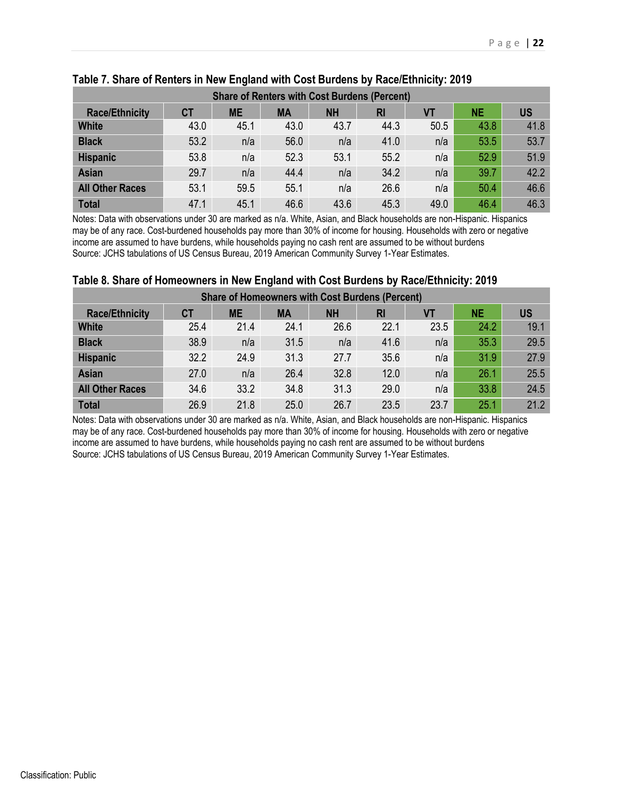| <b>Share of Renters with Cost Burdens (Percent)</b> |      |           |           |           |      |      |           |           |  |
|-----------------------------------------------------|------|-----------|-----------|-----------|------|------|-----------|-----------|--|
| <b>Race/Ethnicity</b>                               | СT   | <b>ME</b> | <b>MA</b> | <b>NH</b> | RI   | VT   | <b>NE</b> | <b>US</b> |  |
| <b>White</b>                                        | 43.0 | 45.1      | 43.0      | 43.7      | 44.3 | 50.5 | 43.8      | 41.8      |  |
| <b>Black</b>                                        | 53.2 | n/a       | 56.0      | n/a       | 41.0 | n/a  | 53.5      | 53.7      |  |
| <b>Hispanic</b>                                     | 53.8 | n/a       | 52.3      | 53.1      | 55.2 | n/a  | 52.9      | 51.9      |  |
| <b>Asian</b>                                        | 29.7 | n/a       | 44.4      | n/a       | 34.2 | n/a  | 39.7      | 42.2      |  |
| <b>All Other Races</b>                              | 53.1 | 59.5      | 55.1      | n/a       | 26.6 | n/a  | 50.4      | 46.6      |  |
| <b>Total</b>                                        | 47.1 | 45.1      | 46.6      | 43.6      | 45.3 | 49.0 | 46.4      | 46.3      |  |

# **Table 7. Share of Renters in New England with Cost Burdens by Race/Ethnicity: 2019**

Notes: Data with observations under 30 are marked as n/a. White, Asian, and Black households are non-Hispanic. Hispanics may be of any race. Cost-burdened households pay more than 30% of income for housing. Households with zero or negative income are assumed to have burdens, while households paying no cash rent are assumed to be without burdens Source: JCHS tabulations of US Census Bureau, 2019 American Community Survey 1-Year Estimates.

#### **Table 8. Share of Homeowners in New England with Cost Burdens by Race/Ethnicity: 2019**

| <b>Share of Homeowners with Cost Burdens (Percent)</b> |           |           |           |           |      |      |           |      |  |
|--------------------------------------------------------|-----------|-----------|-----------|-----------|------|------|-----------|------|--|
| <b>Race/Ethnicity</b>                                  | <b>CT</b> | <b>ME</b> | <b>MA</b> | <b>NH</b> | RI   | VT   | <b>NE</b> | US   |  |
| <b>White</b>                                           | 25.4      | 21.4      | 24.1      | 26.6      | 22.1 | 23.5 | 24.2      | 19.1 |  |
| <b>Black</b>                                           | 38.9      | n/a       | 31.5      | n/a       | 41.6 | n/a  | 35.3      | 29.5 |  |
| <b>Hispanic</b>                                        | 32.2      | 24.9      | 31.3      | 27.7      | 35.6 | n/a  | 31.9      | 27.9 |  |
| <b>Asian</b>                                           | 27.0      | n/a       | 26.4      | 32.8      | 12.0 | n/a  | 26.1      | 25.5 |  |
| <b>All Other Races</b>                                 | 34.6      | 33.2      | 34.8      | 31.3      | 29.0 | n/a  | 33.8      | 24.5 |  |
| <b>Total</b>                                           | 26.9      | 21.8      | 25.0      | 26.7      | 23.5 | 23.7 | 25.1      | 21.2 |  |

Notes: Data with observations under 30 are marked as n/a. White, Asian, and Black households are non-Hispanic. Hispanics may be of any race. Cost-burdened households pay more than 30% of income for housing. Households with zero or negative income are assumed to have burdens, while households paying no cash rent are assumed to be without burdens Source: JCHS tabulations of US Census Bureau, 2019 American Community Survey 1-Year Estimates.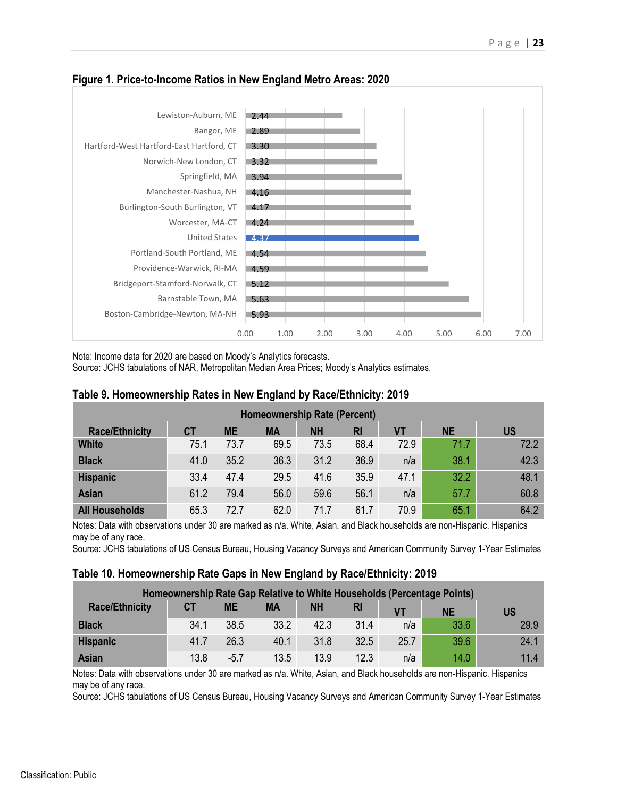

### **Figure 1. Price-to-Income Ratios in New England Metro Areas: 2020**

Note: Income data for 2020 are based on Moody's Analytics forecasts.

Source: JCHS tabulations of NAR, Metropolitan Median Area Prices; Moody's Analytics estimates.

#### **Table 9. Homeownership Rates in New England by Race/Ethnicity: 2019**

| <b>Homeownership Rate (Percent)</b> |      |           |      |           |      |      |           |           |  |
|-------------------------------------|------|-----------|------|-----------|------|------|-----------|-----------|--|
| <b>Race/Ethnicity</b>               | СT   | <b>ME</b> | MА   | <b>NH</b> | RI   | VT   | <b>NE</b> | <b>US</b> |  |
| <b>White</b>                        | 75.1 | 73.7      | 69.5 | 73.5      | 68.4 | 72.9 | 71.7      | 72.2      |  |
| <b>Black</b>                        | 41.0 | 35.2      | 36.3 | 31.2      | 36.9 | n/a  | 38.1      | 42.3      |  |
| <b>Hispanic</b>                     | 33.4 | 47.4      | 29.5 | 41.6      | 35.9 | 47.1 | 32.2      | 48.1      |  |
| <b>Asian</b>                        | 61.2 | 79.4      | 56.0 | 59.6      | 56.1 | n/a  | 57.7      | 60.8      |  |
| <b>All Households</b>               | 65.3 | 72.7      | 62.0 | 71.7      | 61.7 | 70.9 | 65.1      | 64.2      |  |

Notes: Data with observations under 30 are marked as n/a. White, Asian, and Black households are non-Hispanic. Hispanics may be of any race.

Source: JCHS tabulations of US Census Bureau, Housing Vacancy Surveys and American Community Survey 1-Year Estimates

#### **Table 10. Homeownership Rate Gaps in New England by Race/Ethnicity: 2019**

| Homeownership Rate Gap Relative to White Households (Percentage Points) |           |           |           |           |                |           |           |      |  |
|-------------------------------------------------------------------------|-----------|-----------|-----------|-----------|----------------|-----------|-----------|------|--|
| <b>Race/Ethnicity</b>                                                   | <b>CT</b> | <b>ME</b> | <b>MA</b> | <b>NH</b> | R <sub>l</sub> | <b>VT</b> | <b>NE</b> | US   |  |
| <b>Black</b>                                                            | 34.1      | 38.5      | 33.2      | 42.3      | 31.4           | n/a       | 33.6      | 29.9 |  |
| <b>Hispanic</b>                                                         | 41.7      | 26.3      | 40.1      | 31.8      | 32.5           | 25.7      | 39.6      | 24.1 |  |
| <b>Asian</b>                                                            | 13.8      | $-5.7$    | 13.5      | 13.9      | 12.3           | n/a       | 14.0      | 11.4 |  |

Notes: Data with observations under 30 are marked as n/a. White, Asian, and Black households are non-Hispanic. Hispanics may be of any race.

Source: JCHS tabulations of US Census Bureau, Housing Vacancy Surveys and American Community Survey 1-Year Estimates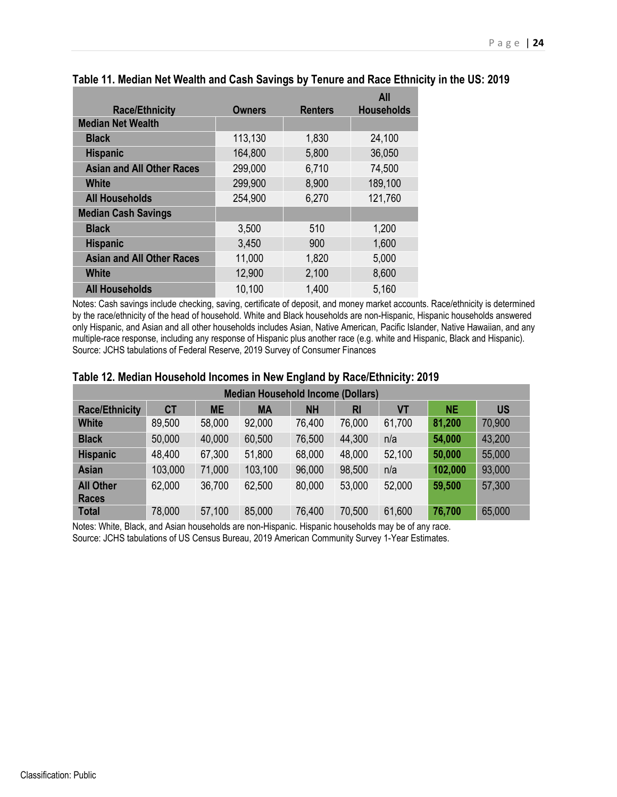|                                  |               |                | <b>All</b>        |
|----------------------------------|---------------|----------------|-------------------|
| <b>Race/Ethnicity</b>            | <b>Owners</b> | <b>Renters</b> | <b>Households</b> |
| <b>Median Net Wealth</b>         |               |                |                   |
| <b>Black</b>                     | 113,130       | 1,830          | 24,100            |
| <b>Hispanic</b>                  | 164,800       | 5,800          | 36,050            |
| <b>Asian and All Other Races</b> | 299,000       | 6,710          | 74,500            |
| White                            | 299,900       | 8,900          | 189,100           |
| <b>All Households</b>            | 254,900       | 6,270          | 121,760           |
| <b>Median Cash Savings</b>       |               |                |                   |
| <b>Black</b>                     | 3,500         | 510            | 1,200             |
| <b>Hispanic</b>                  | 3,450         | 900            | 1,600             |
| <b>Asian and All Other Races</b> | 11,000        | 1,820          | 5,000             |
| <b>White</b>                     | 12,900        | 2,100          | 8,600             |
| <b>All Households</b>            | 10,100        | 1,400          | 5,160             |

#### **Table 11. Median Net Wealth and Cash Savings by Tenure and Race Ethnicity in the US: 2019**

Notes: Cash savings include checking, saving, certificate of deposit, and money market accounts. Race/ethnicity is determined by the race/ethnicity of the head of household. White and Black households are non-Hispanic, Hispanic households answered only Hispanic, and Asian and all other households includes Asian, Native American, Pacific Islander, Native Hawaiian, and any multiple-race response, including any response of Hispanic plus another race (e.g. white and Hispanic, Black and Hispanic). Source: JCHS tabulations of Federal Reserve, 2019 Survey of Consumer Finances

| <b>Median Household Income (Dollars)</b> |         |           |           |           |        |        |           |           |  |
|------------------------------------------|---------|-----------|-----------|-----------|--------|--------|-----------|-----------|--|
| <b>Race/Ethnicity</b>                    | СT      | <b>ME</b> | <b>MA</b> | <b>NH</b> | RI     | VT     | <b>NE</b> | <b>US</b> |  |
| <b>White</b>                             | 89,500  | 58,000    | 92,000    | 76,400    | 76,000 | 61,700 | 81,200    | 70,900    |  |
| <b>Black</b>                             | 50,000  | 40,000    | 60,500    | 76,500    | 44,300 | n/a    | 54,000    | 43,200    |  |
| <b>Hispanic</b>                          | 48,400  | 67,300    | 51,800    | 68,000    | 48,000 | 52,100 | 50,000    | 55,000    |  |
| <b>Asian</b>                             | 103,000 | 71,000    | 103,100   | 96,000    | 98,500 | n/a    | 102,000   | 93,000    |  |
| <b>All Other</b><br><b>Races</b>         | 62,000  | 36,700    | 62,500    | 80,000    | 53,000 | 52,000 | 59,500    | 57,300    |  |
| <b>Total</b>                             | 78,000  | 57,100    | 85,000    | 76,400    | 70,500 | 61,600 | 76,700    | 65,000    |  |

#### **Table 12. Median Household Incomes in New England by Race/Ethnicity: 2019**

Notes: White, Black, and Asian households are non-Hispanic. Hispanic households may be of any race. Source: JCHS tabulations of US Census Bureau, 2019 American Community Survey 1-Year Estimates.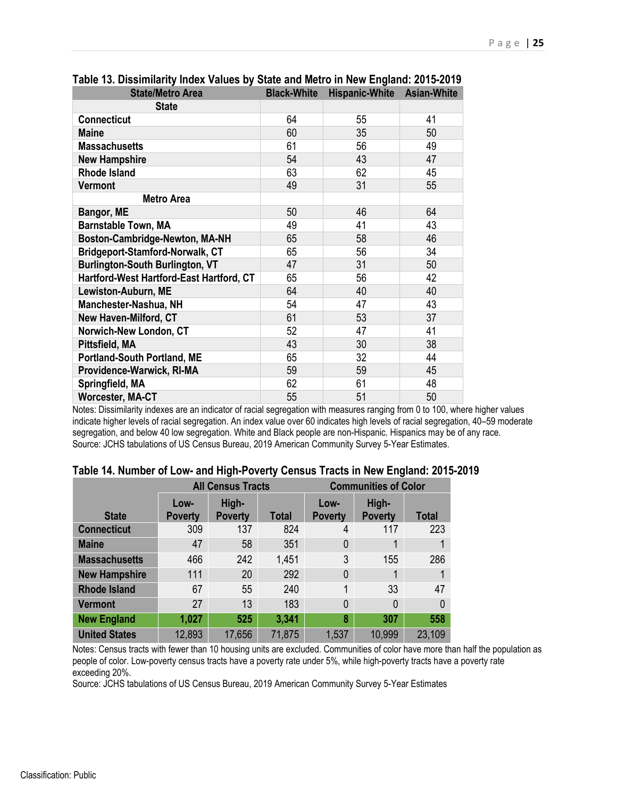| <b>State/Metro Area</b>                  | <b>Black-White</b> | <b>Hispanic-White</b> | <b>Asian-White</b> |
|------------------------------------------|--------------------|-----------------------|--------------------|
| <b>State</b>                             |                    |                       |                    |
| <b>Connecticut</b>                       | 64                 | 55                    | 41                 |
| <b>Maine</b>                             | 60                 | 35                    | 50                 |
| <b>Massachusetts</b>                     | 61                 | 56                    | 49                 |
| <b>New Hampshire</b>                     | 54                 | 43                    | 47                 |
| <b>Rhode Island</b>                      | 63                 | 62                    | 45                 |
| <b>Vermont</b>                           | 49                 | 31                    | 55                 |
| <b>Metro Area</b>                        |                    |                       |                    |
| Bangor, ME                               | 50                 | 46                    | 64                 |
| <b>Barnstable Town, MA</b>               | 49                 | 41                    | 43                 |
| Boston-Cambridge-Newton, MA-NH           | 65                 | 58                    | 46                 |
| Bridgeport-Stamford-Norwalk, CT          | 65                 | 56                    | 34                 |
| <b>Burlington-South Burlington, VT</b>   | 47                 | 31                    | 50                 |
| Hartford-West Hartford-East Hartford, CT | 65                 | 56                    | 42                 |
| Lewiston-Auburn, ME                      | 64                 | 40                    | 40                 |
| Manchester-Nashua, NH                    | 54                 | 47                    | 43                 |
| <b>New Haven-Milford, CT</b>             | 61                 | 53                    | 37                 |
| Norwich-New London, CT                   | 52                 | 47                    | 41                 |
| Pittsfield, MA                           | 43                 | 30                    | 38                 |
| <b>Portland-South Portland, ME</b>       | 65                 | 32                    | 44                 |
| Providence-Warwick, RI-MA                | 59                 | 59                    | 45                 |
| Springfield, MA                          | 62                 | 61                    | 48                 |
| <b>Worcester, MA-CT</b>                  | 55                 | 51                    | 50                 |

**Table 13. Dissimilarity Index Values by State and Metro in New England: 2015-2019** 

Notes: Dissimilarity indexes are an indicator of racial segregation with measures ranging from 0 to 100, where higher values indicate higher levels of racial segregation. An index value over 60 indicates high levels of racial segregation, 40–59 moderate segregation, and below 40 low segregation. White and Black people are non-Hispanic. Hispanics may be of any race. Source: JCHS tabulations of US Census Bureau, 2019 American Community Survey 5-Year Estimates.

|                      | <b>All Census Tracts</b> |                         |              | <b>Communities of Color</b> |                         |              |  |
|----------------------|--------------------------|-------------------------|--------------|-----------------------------|-------------------------|--------------|--|
| <b>State</b>         | Low-<br><b>Poverty</b>   | High-<br><b>Poverty</b> | <b>Total</b> | Low-<br><b>Poverty</b>      | High-<br><b>Poverty</b> | <b>Total</b> |  |
| <b>Connecticut</b>   | 309                      | 137                     | 824          | 4                           | 117                     | 223          |  |
| <b>Maine</b>         | 47                       | 58                      | 351          | $\mathbf{0}$                |                         |              |  |
| <b>Massachusetts</b> | 466                      | 242                     | 1,451        | 3                           | 155                     | 286          |  |
| <b>New Hampshire</b> | 111                      | 20                      | 292          | $\mathbf{0}$                |                         |              |  |
| <b>Rhode Island</b>  | 67                       | 55                      | 240          | 1                           | 33                      | 47           |  |
| <b>Vermont</b>       | 27                       | 13                      | 183          | $\mathbf{0}$                | 0                       | $\Omega$     |  |
| <b>New England</b>   | 1,027                    | 525                     | 3,341        | 8                           | 307                     | 558          |  |
| <b>United States</b> | 12,893                   | 17,656                  | 71,875       | 1,537                       | 10,999                  | 23,109       |  |

### **Table 14. Number of Low- and High-Poverty Census Tracts in New England: 2015-2019**

Notes: Census tracts with fewer than 10 housing units are excluded. Communities of color have more than half the population as people of color. Low-poverty census tracts have a poverty rate under 5%, while high-poverty tracts have a poverty rate exceeding 20%.

Source: JCHS tabulations of US Census Bureau, 2019 American Community Survey 5-Year Estimates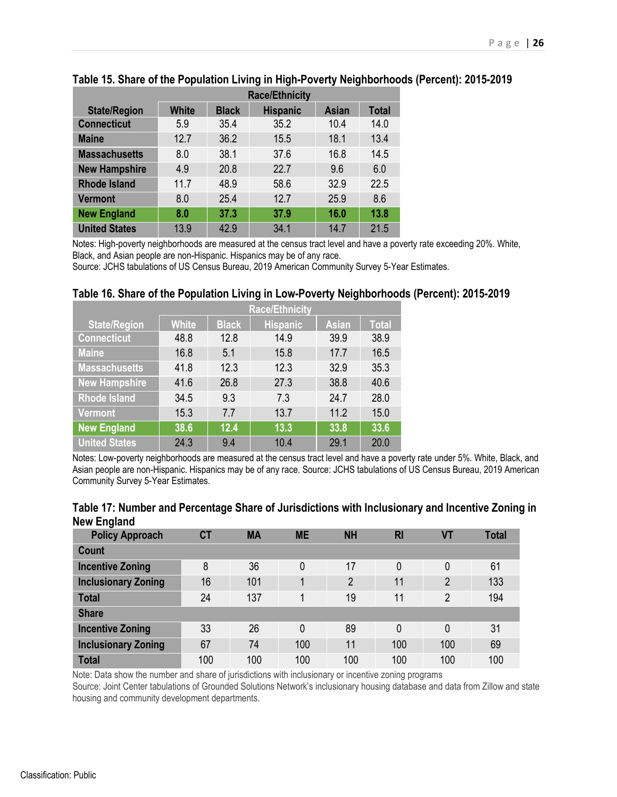|                      | <b>Race/Ethnicity</b> |              |                 |              |              |  |  |
|----------------------|-----------------------|--------------|-----------------|--------------|--------------|--|--|
| <b>State/Region</b>  | <b>White</b>          | <b>Black</b> | <b>Hispanic</b> | <b>Asian</b> | <b>Total</b> |  |  |
| <b>Connecticut</b>   | 5.9                   | 35.4         | 35.2            | 10.4         | 14.0         |  |  |
| <b>Maine</b>         | 12.7                  | 36.2         | 15.5            | 18.1         | 13.4         |  |  |
| <b>Massachusetts</b> | 8.0                   | 38.1         | 37.6            | 16.8         | 14.5         |  |  |
| <b>New Hampshire</b> | 4.9                   | 20.8         | 22.7            | 9.6          | 6.0          |  |  |
| <b>Rhode Island</b>  | 11.7                  | 48.9         | 58.6            | 32.9         | 22.5         |  |  |
| <b>Vermont</b>       | 8.0                   | 25.4         | 12.7            | 25.9         | 8.6          |  |  |
| <b>New England</b>   | 8.0                   | 37.3         | 37.9            | 16.0         | 13.8         |  |  |
| <b>United States</b> | 13.9                  | 42.9         | 34.1            | 14.7         | 21.5         |  |  |

## **Table 15. Share of the Population Living in High-Poverty Neighborhoods (Percent): 2015-2019**

Notes: High-poverty neighborhoods are measured at the census tract level and have a poverty rate exceeding 20%. White, Black, and Asian people are non-Hispanic. Hispanics may be of any race.

Source: JCHS tabulations of US Census Bureau, 2019 American Community Survey 5-Year Estimates.

#### **Table 16. Share of the Population Living in Low-Poverty Neighborhoods (Percent): 2015-2019**

|                      | <b>Race/Ethnicity</b> |              |                 |              |              |  |  |  |
|----------------------|-----------------------|--------------|-----------------|--------------|--------------|--|--|--|
| <b>State/Region</b>  | <b>White</b>          | <b>Black</b> | <b>Hispanic</b> | <b>Asian</b> | <b>Total</b> |  |  |  |
| <b>Connecticut</b>   | 48.8                  | 12.8         | 14.9            | 39.9         | 38.9         |  |  |  |
| <b>Maine</b>         | 16.8                  | 5.1          | 15.8            | 17.7         | 16.5         |  |  |  |
| <b>Massachusetts</b> | 41.8                  | 12.3         | 12.3            | 32.9         | 35.3         |  |  |  |
| <b>New Hampshire</b> | 41.6                  | 26.8         | 27.3            | 38.8         | 40.6         |  |  |  |
| <b>Rhode Island</b>  | 34.5                  | 9.3          | 7.3             | 24.7         | 28.0         |  |  |  |
| <b>Vermont</b>       | 15.3                  | 7.7          | 13.7            | 11.2         | 15.0         |  |  |  |
| <b>New England</b>   | 38.6                  | 12.4         | 13.3            | 33.8         | 33.6         |  |  |  |
| <b>United States</b> | 24.3                  | 9.4          | 10.4            | 29.1         | 20.0         |  |  |  |

Notes: Low-poverty neighborhoods are measured at the census tract level and have a poverty rate under 5%. White, Black, and Asian people are non-Hispanic. Hispanics may be of any race. Source: JCHS tabulations of US Census Bureau, 2019 American Community Survey 5-Year Estimates.

| <b>NGW LINGING</b>         |           |           |           |                |           |                |              |
|----------------------------|-----------|-----------|-----------|----------------|-----------|----------------|--------------|
| <b>Policy Approach</b>     | <b>CT</b> | <b>MA</b> | <b>ME</b> | <b>NH</b>      | <b>RI</b> | VT             | <b>Total</b> |
| Count                      |           |           |           |                |           |                |              |
| <b>Incentive Zoning</b>    | 8         | 36        | 0         | 17             | 0         | 0              | 61           |
| <b>Inclusionary Zoning</b> | 16        | 101       | 1         | $\overline{2}$ | 11        | $\overline{2}$ | 133          |
| <b>Total</b>               | 24        | 137       | 4         | 19             | 11        | $\overline{2}$ | 194          |
| <b>Share</b>               |           |           |           |                |           |                |              |
| <b>Incentive Zoning</b>    | 33        | 26        | 0         | 89             | 0         | 0              | 31           |
| <b>Inclusionary Zoning</b> | 67        | 74        | 100       | 11             | 100       | 100            | 69           |
| <b>Total</b>               | 100       | 100       | 100       | 100            | 100       | 100            | 100          |

#### **Table 17: Number and Percentage Share of Jurisdictions with Inclusionary and Incentive Zoning in New England**

Note: Data show the number and share of jurisdictions with inclusionary or incentive zoning programs

Source: Joint Center tabulations of Grounded Solutions Network's inclusionary housing database and data from Zillow and state housing and community development departments.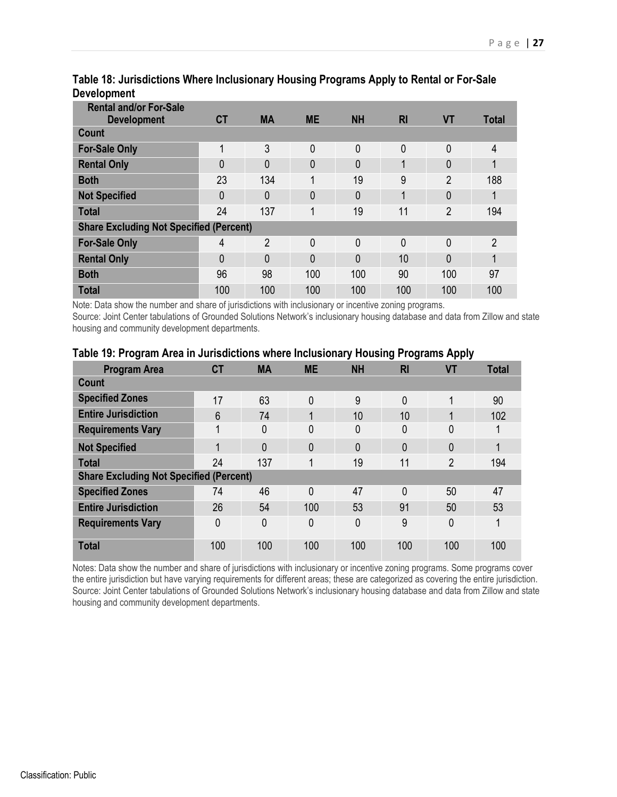| <b>Rental and/or For-Sale</b>                  |           |                |           |           |              |                |              |
|------------------------------------------------|-----------|----------------|-----------|-----------|--------------|----------------|--------------|
| <b>Development</b>                             | <b>CT</b> | <b>MA</b>      | <b>ME</b> | <b>NH</b> | <b>RI</b>    | <b>VT</b>      | <b>Total</b> |
| Count                                          |           |                |           |           |              |                |              |
| <b>For-Sale Only</b>                           | 1         | 3              | 0         | 0         | 0            | $\mathbf{0}$   | 4            |
| <b>Rental Only</b>                             | 0         | $\Omega$       | 0         | 0         |              | 0              |              |
| <b>Both</b>                                    | 23        | 134            | 1         | 19        | 9            | $\overline{2}$ | 188          |
| <b>Not Specified</b>                           | 0         | $\mathbf{0}$   | 0         | 0         | 1            | 0              |              |
| <b>Total</b>                                   | 24        | 137            | 4         | 19        | 11           | $\overline{2}$ | 194          |
| <b>Share Excluding Not Specified (Percent)</b> |           |                |           |           |              |                |              |
| <b>For-Sale Only</b>                           | 4         | $\overline{2}$ | 0         | 0         | $\mathbf{0}$ | 0              | 2            |
| <b>Rental Only</b>                             | 0         | $\mathbf{0}$   | 0         | 0         | 10           | 0              | 1            |
| <b>Both</b>                                    | 96        | 98             | 100       | 100       | 90           | 100            | 97           |
| <b>Total</b>                                   | 100       | 100            | 100       | 100       | 100          | 100            | 100          |

## **Table 18: Jurisdictions Where Inclusionary Housing Programs Apply to Rental or For-Sale Development**

Note: Data show the number and share of jurisdictions with inclusionary or incentive zoning programs. Source: Joint Center tabulations of Grounded Solutions Network's inclusionary housing database and data from Zillow and state housing and community development departments.

| <b>Program Area</b>                            | <b>CT</b> | <b>MA</b>    | <b>ME</b>      | <b>NH</b>    | <b>RI</b>    | <b>VT</b>      | <b>Total</b> |
|------------------------------------------------|-----------|--------------|----------------|--------------|--------------|----------------|--------------|
| <b>Count</b>                                   |           |              |                |              |              |                |              |
| <b>Specified Zones</b>                         | 17        | 63           | $\mathbf{0}$   | 9            | $\mathbf{0}$ | 1              | 90           |
| <b>Entire Jurisdiction</b>                     | 6         | 74           |                | 10           | 10           |                | 102          |
| <b>Requirements Vary</b>                       | 1         | 0            | $\mathbf{0}$   | 0            | 0            | 0              |              |
| <b>Not Specified</b>                           | 1         | $\mathbf{0}$ | $\overline{0}$ | $\mathbf{0}$ | $\mathbf{0}$ | 0              |              |
| <b>Total</b>                                   | 24        | 137          | 1              | 19           | 11           | $\overline{2}$ | 194          |
| <b>Share Excluding Not Specified (Percent)</b> |           |              |                |              |              |                |              |
| <b>Specified Zones</b>                         | 74        | 46           | $\mathbf{0}$   | 47           | $\mathbf{0}$ | 50             | 47           |
| <b>Entire Jurisdiction</b>                     | 26        | 54           | 100            | 53           | 91           | 50             | 53           |
| <b>Requirements Vary</b>                       | 0         | 0            | $\mathbf{0}$   | 0            | 9            | 0              |              |
| <b>Total</b>                                   | 100       | 100          | 100            | 100          | 100          | 100            | 100          |

#### **Table 19: Program Area in Jurisdictions where Inclusionary Housing Programs Apply**

Notes: Data show the number and share of jurisdictions with inclusionary or incentive zoning programs. Some programs cover the entire jurisdiction but have varying requirements for different areas; these are categorized as covering the entire jurisdiction. Source: Joint Center tabulations of Grounded Solutions Network's inclusionary housing database and data from Zillow and state housing and community development departments.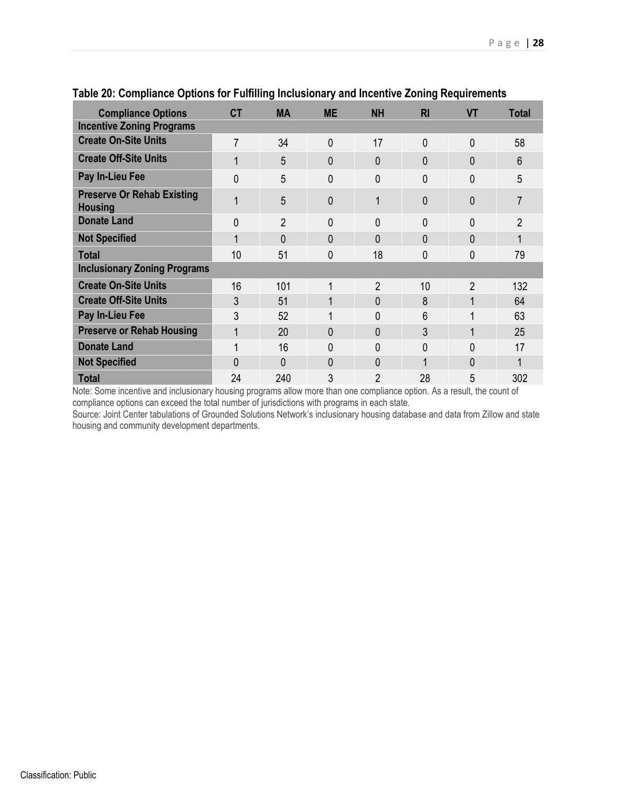| <b>Compliance Options</b>                           | <b>CT</b>      | <b>MA</b>      | <b>ME</b>      | <b>NH</b>      | R <sub>l</sub> | <b>VT</b>      | <b>Total</b> |
|-----------------------------------------------------|----------------|----------------|----------------|----------------|----------------|----------------|--------------|
| <b>Incentive Zoning Programs</b>                    |                |                |                |                |                |                |              |
| <b>Create On-Site Units</b>                         | 7              | 34             | $\overline{0}$ | 17             | $\overline{0}$ | $\overline{0}$ | 58           |
| <b>Create Off-Site Units</b>                        | 1              | 5              | 0              | 0              | 0              | $\Omega$       | 6            |
| Pay In-Lieu Fee                                     | $\overline{0}$ | 5              | 0              | 0              | 0              | 0              | 5            |
| <b>Preserve Or Rehab Existing</b><br><b>Housing</b> | 1              | 5              | 0              | 1              | 0              | 0              |              |
| <b>Donate Land</b>                                  | 0              | $\overline{2}$ | 0              | 0              | 0              | 0              | 2            |
| <b>Not Specified</b>                                | 1              | 0              | 0              | 0              | $\mathbf{0}$   | $\mathbf{0}$   |              |
| <b>Total</b>                                        | 10             | 51             | 0              | 18             | 0              | 0              | 79           |
| <b>Inclusionary Zoning Programs</b>                 |                |                |                |                |                |                |              |
| <b>Create On-Site Units</b>                         | 16             | 101            | 1              | $\overline{2}$ | 10             | $\overline{2}$ | 132          |
| <b>Create Off-Site Units</b>                        | 3              | 51             | 1              | 0              | 8              | 1              | 64           |
| Pay In-Lieu Fee                                     | 3              | 52             | 1              | 0              | 6              | 1              | 63           |
| <b>Preserve or Rehab Housing</b>                    | 1              | 20             | 0              | 0              | 3              | 1              | 25           |
| <b>Donate Land</b>                                  | 1              | 16             | 0              | 0              | 0              | 0              | 17           |
| <b>Not Specified</b>                                | 0              | 0              | 0              | 0              | 1              | $\Omega$       |              |
| <b>Total</b>                                        | 24             | 240            | 3              | $\overline{2}$ | 28             | 5              | 302          |

### **Table 20: Compliance Options for Fulfilling Inclusionary and Incentive Zoning Requirements**

Note: Some incentive and inclusionary housing programs allow more than one compliance option. As a result, the count of compliance options can exceed the total number of jurisdictions with programs in each state.

Source: Joint Center tabulations of Grounded Solutions Network's inclusionary housing database and data from Zillow and state housing and community development departments.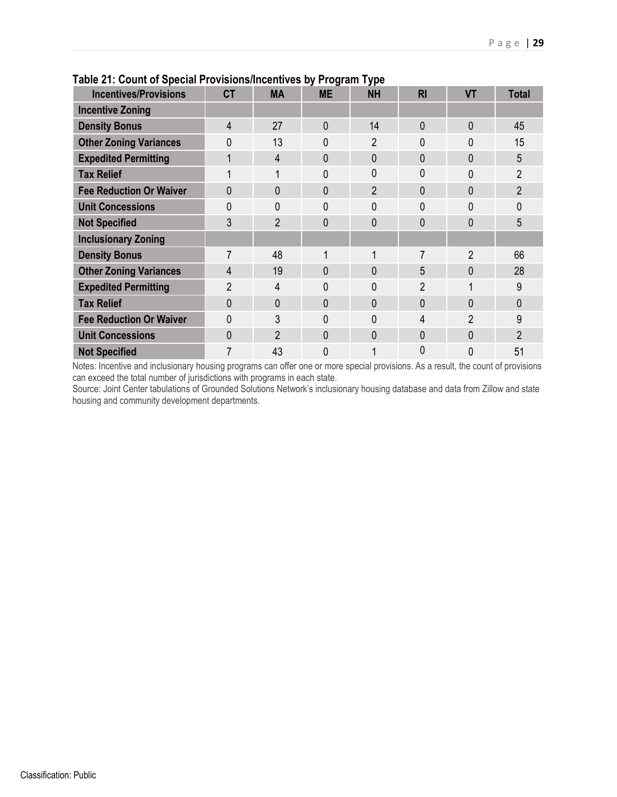|                                |                |                | .         | J F –          |                |                |                |
|--------------------------------|----------------|----------------|-----------|----------------|----------------|----------------|----------------|
| <b>Incentives/Provisions</b>   | <b>CT</b>      | <b>MA</b>      | <b>ME</b> | <b>NH</b>      | <b>RI</b>      | <b>VT</b>      | <b>Total</b>   |
| <b>Incentive Zoning</b>        |                |                |           |                |                |                |                |
| <b>Density Bonus</b>           | 4              | 27             | 0         | 14             | $\Omega$       | $\Omega$       | 45             |
| <b>Other Zoning Variances</b>  | $\mathbf{0}$   | 13             | 0         | $\overline{2}$ | 0              | 0              | 15             |
| <b>Expedited Permitting</b>    |                | $\overline{4}$ | 0         | 0              | $\mathbf{0}$   | $\mathbf{0}$   | 5              |
| <b>Tax Relief</b>              |                | 1              | 0         | 0              | 0              | 0              | $\overline{2}$ |
| <b>Fee Reduction Or Waiver</b> | $\mathbf{0}$   | $\overline{0}$ | 0         | $\overline{2}$ | $\overline{0}$ | $\overline{0}$ | $\overline{2}$ |
| <b>Unit Concessions</b>        | 0              | 0              | 0         | 0              | 0              | 0              | 0              |
| <b>Not Specified</b>           | 3              | $\overline{2}$ | 0         | $\mathbf{0}$   | $\mathbf{0}$   | $\mathbf{0}$   | 5              |
| <b>Inclusionary Zoning</b>     |                |                |           |                |                |                |                |
| <b>Density Bonus</b>           | 7              | 48             | 1         | $\mathbf{1}$   | 7              | 2              | 66             |
| <b>Other Zoning Variances</b>  | 4              | 19             | 0         | 0              | 5              | $\overline{0}$ | 28             |
| <b>Expedited Permitting</b>    | $\overline{2}$ | 4              | 0         | 0              | 2              |                | 9              |
| <b>Tax Relief</b>              | $\theta$       | $\mathbf{0}$   | 0         | $\mathbf{0}$   | $\mathbf{0}$   | $\mathbf{0}$   | 0              |
| <b>Fee Reduction Or Waiver</b> | $\Omega$       | 3              | 0         | $\Omega$       | $\overline{4}$ | $\overline{2}$ | 9              |
| <b>Unit Concessions</b>        | $\Omega$       | $\overline{2}$ | 0         | 0              | $\mathbf{0}$   | $\mathbf{0}$   | $\overline{2}$ |
| <b>Not Specified</b>           | 7              | 43             | 0         |                | 0              | 0              | 51             |

## **Table 21: Count of Special Provisions/Incentives by Program Type**

Notes: Incentive and inclusionary housing programs can offer one or more special provisions. As a result, the count of provisions can exceed the total number of jurisdictions with programs in each state.

Source: Joint Center tabulations of Grounded Solutions Network's inclusionary housing database and data from Zillow and state housing and community development departments.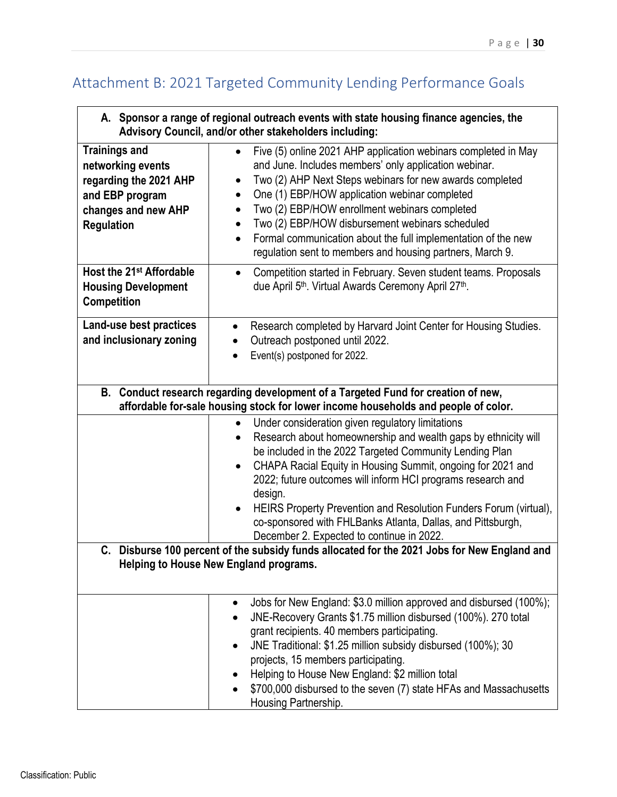# Attachment B: 2021 Targeted Community Lending Performance Goals

|                                                                                                                                           | A. Sponsor a range of regional outreach events with state housing finance agencies, the<br>Advisory Council, and/or other stakeholders including:                                                                                                                                                                                                                                                                                                                                                                                                           |  |  |  |  |
|-------------------------------------------------------------------------------------------------------------------------------------------|-------------------------------------------------------------------------------------------------------------------------------------------------------------------------------------------------------------------------------------------------------------------------------------------------------------------------------------------------------------------------------------------------------------------------------------------------------------------------------------------------------------------------------------------------------------|--|--|--|--|
| <b>Trainings and</b><br>networking events<br>regarding the 2021 AHP<br>and EBP program<br>changes and new AHP<br><b>Regulation</b>        | Five (5) online 2021 AHP application webinars completed in May<br>and June. Includes members' only application webinar.<br>Two (2) AHP Next Steps webinars for new awards completed<br>One (1) EBP/HOW application webinar completed<br>٠<br>Two (2) EBP/HOW enrollment webinars completed<br>$\bullet$<br>Two (2) EBP/HOW disbursement webinars scheduled<br>$\bullet$<br>Formal communication about the full implementation of the new<br>$\bullet$<br>regulation sent to members and housing partners, March 9.                                          |  |  |  |  |
| Host the 21 <sup>st</sup> Affordable<br><b>Housing Development</b><br>Competition                                                         | Competition started in February. Seven student teams. Proposals<br>$\bullet$<br>due April 5 <sup>th</sup> . Virtual Awards Ceremony April 27 <sup>th</sup> .                                                                                                                                                                                                                                                                                                                                                                                                |  |  |  |  |
| Land-use best practices<br>and inclusionary zoning                                                                                        | Research completed by Harvard Joint Center for Housing Studies.<br>$\bullet$<br>Outreach postponed until 2022.<br>$\bullet$<br>Event(s) postponed for 2022.                                                                                                                                                                                                                                                                                                                                                                                                 |  |  |  |  |
|                                                                                                                                           | B. Conduct research regarding development of a Targeted Fund for creation of new,<br>affordable for-sale housing stock for lower income households and people of color.                                                                                                                                                                                                                                                                                                                                                                                     |  |  |  |  |
|                                                                                                                                           | Under consideration given regulatory limitations<br>$\bullet$<br>Research about homeownership and wealth gaps by ethnicity will<br>$\bullet$<br>be included in the 2022 Targeted Community Lending Plan<br>CHAPA Racial Equity in Housing Summit, ongoing for 2021 and<br>$\bullet$<br>2022; future outcomes will inform HCI programs research and<br>design.<br>HEIRS Property Prevention and Resolution Funders Forum (virtual),<br>$\bullet$<br>co-sponsored with FHLBanks Atlanta, Dallas, and Pittsburgh,<br>December 2. Expected to continue in 2022. |  |  |  |  |
| Disburse 100 percent of the subsidy funds allocated for the 2021 Jobs for New England and<br>C.<br>Helping to House New England programs. |                                                                                                                                                                                                                                                                                                                                                                                                                                                                                                                                                             |  |  |  |  |
|                                                                                                                                           | Jobs for New England: \$3.0 million approved and disbursed (100%);<br>$\bullet$<br>JNE-Recovery Grants \$1.75 million disbursed (100%). 270 total<br>grant recipients. 40 members participating.<br>JNE Traditional: \$1.25 million subsidy disbursed (100%); 30<br>projects, 15 members participating.<br>Helping to House New England: \$2 million total<br>\$700,000 disbursed to the seven (7) state HFAs and Massachusetts<br>Housing Partnership.                                                                                                     |  |  |  |  |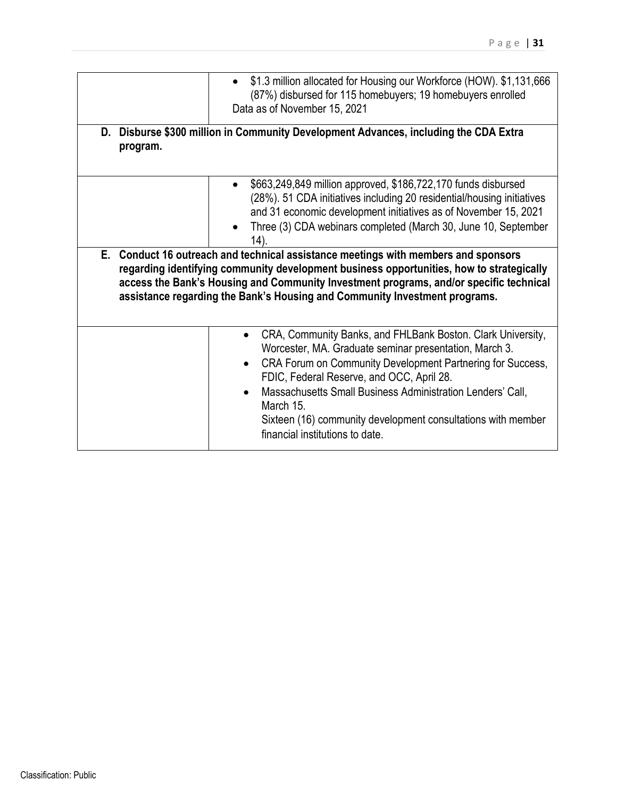|          | \$1.3 million allocated for Housing our Workforce (HOW). \$1,131,666<br>$\bullet$<br>(87%) disbursed for 115 homebuyers; 19 homebuyers enrolled<br>Data as of November 15, 2021                                                                                                                                                                                                                                                                                                                                                                                                                                                                             |
|----------|-------------------------------------------------------------------------------------------------------------------------------------------------------------------------------------------------------------------------------------------------------------------------------------------------------------------------------------------------------------------------------------------------------------------------------------------------------------------------------------------------------------------------------------------------------------------------------------------------------------------------------------------------------------|
| program. | D. Disburse \$300 million in Community Development Advances, including the CDA Extra                                                                                                                                                                                                                                                                                                                                                                                                                                                                                                                                                                        |
|          | \$663,249,849 million approved, \$186,722,170 funds disbursed<br>$\bullet$<br>(28%). 51 CDA initiatives including 20 residential/housing initiatives<br>and 31 economic development initiatives as of November 15, 2021<br>Three (3) CDA webinars completed (March 30, June 10, September<br>14).<br>E. Conduct 16 outreach and technical assistance meetings with members and sponsors<br>regarding identifying community development business opportunities, how to strategically<br>access the Bank's Housing and Community Investment programs, and/or specific technical<br>assistance regarding the Bank's Housing and Community Investment programs. |
|          | CRA, Community Banks, and FHLBank Boston. Clark University,<br>$\bullet$<br>Worcester, MA. Graduate seminar presentation, March 3.<br>CRA Forum on Community Development Partnering for Success,<br>FDIC, Federal Reserve, and OCC, April 28.<br>Massachusetts Small Business Administration Lenders' Call,<br>$\bullet$<br>March 15.<br>Sixteen (16) community development consultations with member<br>financial institutions to date.                                                                                                                                                                                                                    |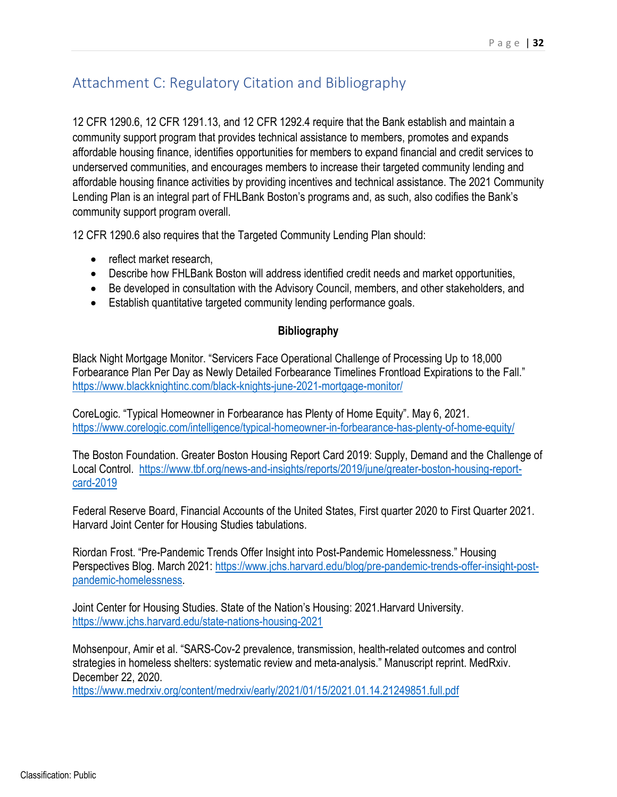# Attachment C: Regulatory Citation and Bibliography

12 CFR 1290.6, 12 CFR 1291.13, and 12 CFR 1292.4 require that the Bank establish and maintain a community support program that provides technical assistance to members, promotes and expands affordable housing finance, identifies opportunities for members to expand financial and credit services to underserved communities, and encourages members to increase their targeted community lending and affordable housing finance activities by providing incentives and technical assistance. The 2021 Community Lending Plan is an integral part of FHLBank Boston's programs and, as such, also codifies the Bank's community support program overall.

12 CFR 1290.6 also requires that the Targeted Community Lending Plan should:

- reflect market research,
- Describe how FHLBank Boston will address identified credit needs and market opportunities,
- Be developed in consultation with the Advisory Council, members, and other stakeholders, and
- Establish quantitative targeted community lending performance goals.

## **Bibliography**

Black Night Mortgage Monitor. "Servicers Face Operational Challenge of Processing Up to 18,000 Forbearance Plan Per Day as Newly Detailed Forbearance Timelines Frontload Expirations to the Fall." <https://www.blackknightinc.com/black-knights-june-2021-mortgage-monitor/>

CoreLogic. "Typical Homeowner in Forbearance has Plenty of Home Equity". May 6, 2021. [https://www.corelogic.com/intelligence/typical-homeowner-in-forbearance-has-plenty-of-home-equity/](https://www.hud.gov/press/press_releases_media_advisories/hud_no_21_041)

The Boston Foundation. Greater Boston Housing Report Card 2019: Supply, Demand and the Challenge of Local Control. [https://www.tbf.org/news-and-insights/reports/2019/june/greater-boston-housing-report](https://www.tbf.org/news-and-insights/reports/2019/june/greater-boston-housing-report-card-2019)[card-2019](https://www.tbf.org/news-and-insights/reports/2019/june/greater-boston-housing-report-card-2019) 

Federal Reserve Board, Financial Accounts of the United States, First quarter 2020 to First Quarter 2021. Harvard Joint Center for Housing Studies tabulations.

Riordan Frost. "Pre-Pandemic Trends Offer Insight into Post-Pandemic Homelessness." Housing Perspectives Blog. March 2021: [https://www.jchs.harvard.edu/blog/pre-pandemic-trends-offer-insight-post](https://www.jchs.harvard.edu/blog/pre-pandemic-trends-offer-insight-post-pandemic-homelessness)[pandemic-homelessness.](https://www.jchs.harvard.edu/blog/pre-pandemic-trends-offer-insight-post-pandemic-homelessness)

Joint Center for Housing Studies. State of the Nation's Housing: 2021.Harvard University. <https://www.jchs.harvard.edu/state-nations-housing-2021>

Mohsenpour, Amir et al. "SARS-Cov-2 prevalence, transmission, health-related outcomes and control strategies in homeless shelters: systematic review and meta-analysis." Manuscript reprint. MedRxiv. December 22, 2020.

<https://www.medrxiv.org/content/medrxiv/early/2021/01/15/2021.01.14.21249851.full.pdf>